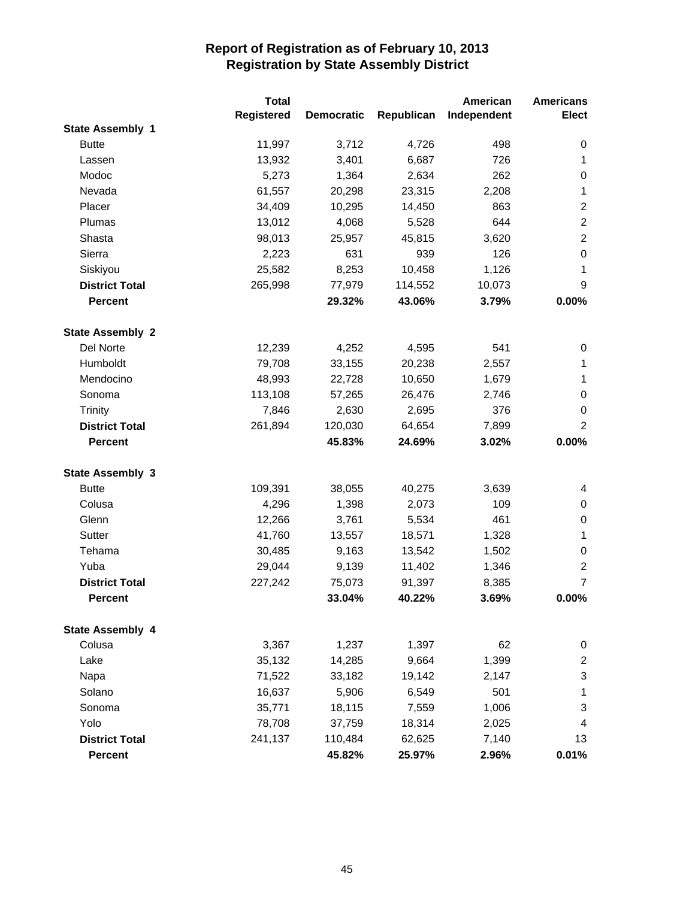|                         | <b>Total</b> |                   |            | American    | <b>Americans</b> |
|-------------------------|--------------|-------------------|------------|-------------|------------------|
|                         | Registered   | <b>Democratic</b> | Republican | Independent | <b>Elect</b>     |
| <b>State Assembly 1</b> |              |                   |            |             |                  |
| <b>Butte</b>            | 11,997       | 3,712             | 4,726      | 498         | 0                |
| Lassen                  | 13,932       | 3,401             | 6,687      | 726         | 1                |
| Modoc                   | 5,273        | 1,364             | 2,634      | 262         | 0                |
| Nevada                  | 61,557       | 20,298            | 23,315     | 2,208       | $\mathbf 1$      |
| Placer                  | 34,409       | 10,295            | 14,450     | 863         | $\overline{2}$   |
| Plumas                  | 13,012       | 4,068             | 5,528      | 644         | $\overline{2}$   |
| Shasta                  | 98,013       | 25,957            | 45,815     | 3,620       | $\overline{2}$   |
| Sierra                  | 2,223        | 631               | 939        | 126         | $\boldsymbol{0}$ |
| Siskiyou                | 25,582       | 8,253             | 10,458     | 1,126       | 1                |
| <b>District Total</b>   | 265,998      | 77,979            | 114,552    | 10,073      | 9                |
| <b>Percent</b>          |              | 29.32%            | 43.06%     | 3.79%       | 0.00%            |
| <b>State Assembly 2</b> |              |                   |            |             |                  |
| Del Norte               | 12,239       | 4,252             | 4,595      | 541         | 0                |
| Humboldt                | 79,708       | 33,155            | 20,238     | 2,557       | 1                |
| Mendocino               | 48,993       | 22,728            | 10,650     | 1,679       | 1                |
| Sonoma                  | 113,108      | 57,265            | 26,476     | 2,746       | $\pmb{0}$        |
| <b>Trinity</b>          | 7,846        | 2,630             | 2,695      | 376         | 0                |
| <b>District Total</b>   | 261,894      | 120,030           | 64,654     | 7,899       | $\overline{2}$   |
| <b>Percent</b>          |              | 45.83%            | 24.69%     | 3.02%       | 0.00%            |
| <b>State Assembly 3</b> |              |                   |            |             |                  |
| <b>Butte</b>            | 109,391      | 38,055            | 40,275     | 3,639       | 4                |
| Colusa                  | 4,296        | 1,398             | 2,073      | 109         | 0                |
| Glenn                   | 12,266       | 3,761             | 5,534      | 461         | 0                |
| Sutter                  | 41,760       | 13,557            | 18,571     | 1,328       | $\mathbf{1}$     |
| Tehama                  | 30,485       | 9,163             | 13,542     | 1,502       | $\pmb{0}$        |
| Yuba                    | 29,044       | 9,139             | 11,402     | 1,346       | $\overline{2}$   |
| <b>District Total</b>   | 227,242      | 75,073            | 91,397     | 8,385       | $\overline{7}$   |
| <b>Percent</b>          |              | 33.04%            | 40.22%     | 3.69%       | 0.00%            |
| <b>State Assembly 4</b> |              |                   |            |             |                  |
| Colusa                  | 3,367        | 1,237             | 1,397      | 62          | 0                |
| Lake                    | 35,132       | 14,285            | 9,664      | 1,399       | $\boldsymbol{2}$ |
| Napa                    | 71,522       | 33,182            | 19,142     | 2,147       | 3                |
| Solano                  | 16,637       | 5,906             | 6,549      | 501         | 1                |
| Sonoma                  | 35,771       | 18,115            | 7,559      | 1,006       | 3                |
| Yolo                    | 78,708       | 37,759            | 18,314     | 2,025       | 4                |
| <b>District Total</b>   | 241,137      | 110,484           | 62,625     | 7,140       | 13               |
| <b>Percent</b>          |              | 45.82%            | 25.97%     | 2.96%       | 0.01%            |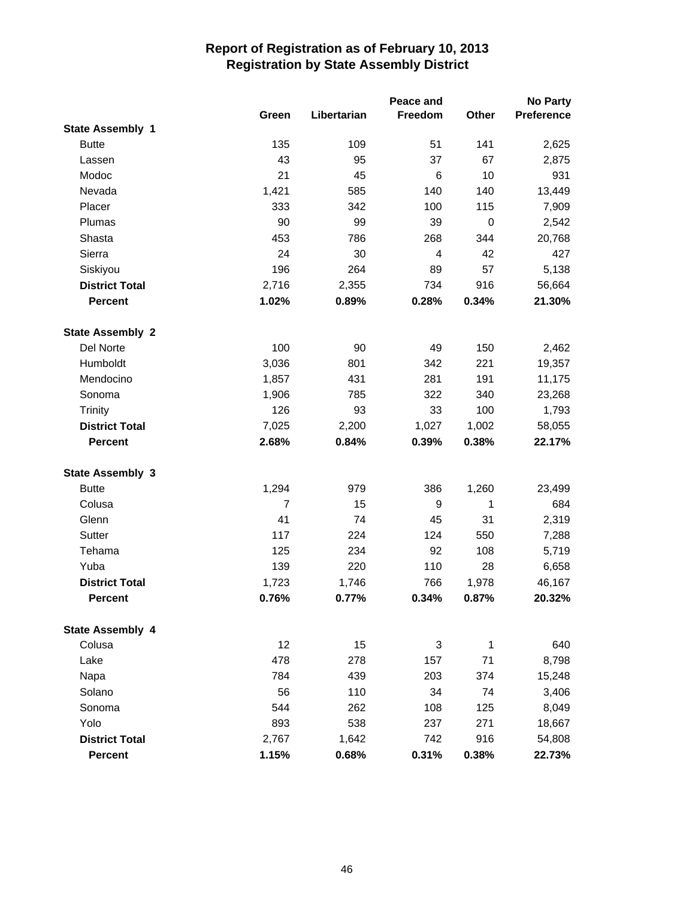|                         |                |             | Peace and |       | <b>No Party</b>   |
|-------------------------|----------------|-------------|-----------|-------|-------------------|
|                         | Green          | Libertarian | Freedom   | Other | <b>Preference</b> |
| <b>State Assembly 1</b> |                |             |           |       |                   |
| <b>Butte</b>            | 135            | 109         | 51        | 141   | 2,625             |
| Lassen                  | 43             | 95          | 37        | 67    | 2,875             |
| Modoc                   | 21             | 45          | 6         | 10    | 931               |
| Nevada                  | 1,421          | 585         | 140       | 140   | 13,449            |
| Placer                  | 333            | 342         | 100       | 115   | 7,909             |
| Plumas                  | 90             | 99          | 39        | 0     | 2,542             |
| Shasta                  | 453            | 786         | 268       | 344   | 20,768            |
| Sierra                  | 24             | 30          | 4         | 42    | 427               |
| Siskiyou                | 196            | 264         | 89        | 57    | 5,138             |
| <b>District Total</b>   | 2,716          | 2,355       | 734       | 916   | 56,664            |
| <b>Percent</b>          | 1.02%          | 0.89%       | 0.28%     | 0.34% | 21.30%            |
| <b>State Assembly 2</b> |                |             |           |       |                   |
| Del Norte               | 100            | 90          | 49        | 150   | 2,462             |
| Humboldt                | 3,036          | 801         | 342       | 221   | 19,357            |
| Mendocino               | 1,857          | 431         | 281       | 191   | 11,175            |
| Sonoma                  | 1,906          | 785         | 322       | 340   | 23,268            |
| <b>Trinity</b>          | 126            | 93          | 33        | 100   | 1,793             |
| <b>District Total</b>   | 7,025          | 2,200       | 1,027     | 1,002 | 58,055            |
| <b>Percent</b>          | 2.68%          | 0.84%       | 0.39%     | 0.38% | 22.17%            |
| <b>State Assembly 3</b> |                |             |           |       |                   |
| <b>Butte</b>            | 1,294          | 979         | 386       | 1,260 | 23,499            |
| Colusa                  | $\overline{7}$ | 15          | 9         | 1     | 684               |
| Glenn                   | 41             | 74          | 45        | 31    | 2,319             |
| Sutter                  | 117            | 224         | 124       | 550   | 7,288             |
| Tehama                  | 125            | 234         | 92        | 108   | 5,719             |
| Yuba                    | 139            | 220         | 110       | 28    | 6,658             |
| <b>District Total</b>   | 1,723          | 1,746       | 766       | 1,978 | 46,167            |
| <b>Percent</b>          | 0.76%          | 0.77%       | 0.34%     | 0.87% | 20.32%            |
| <b>State Assembly 4</b> |                |             |           |       |                   |
| Colusa                  | 12             | 15          | 3         | 1     | 640               |
| Lake                    | 478            | 278         | 157       | 71    | 8,798             |
| Napa                    | 784            | 439         | 203       | 374   | 15,248            |
| Solano                  | 56             | 110         | 34        | 74    | 3,406             |
| Sonoma                  | 544            | 262         | 108       | 125   | 8,049             |
| Yolo                    | 893            | 538         | 237       | 271   | 18,667            |
| <b>District Total</b>   | 2,767          | 1,642       | 742       | 916   | 54,808            |
| <b>Percent</b>          | 1.15%          | 0.68%       | 0.31%     | 0.38% | 22.73%            |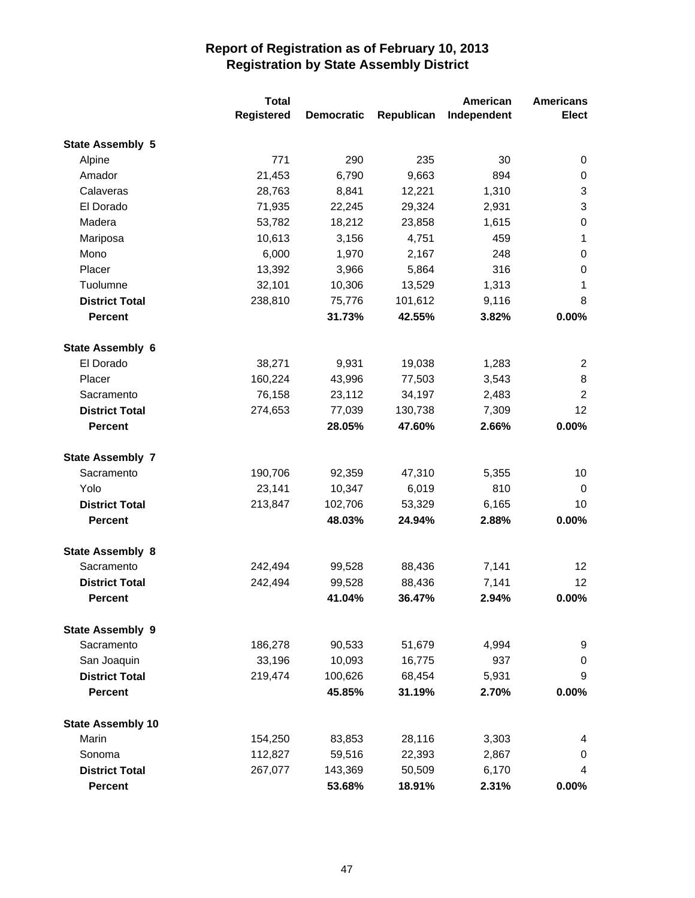|                          | <b>Total</b> |                   |            | American    | <b>Americans</b> |
|--------------------------|--------------|-------------------|------------|-------------|------------------|
|                          | Registered   | <b>Democratic</b> | Republican | Independent | <b>Elect</b>     |
| <b>State Assembly 5</b>  |              |                   |            |             |                  |
| Alpine                   | 771          | 290               | 235        | 30          | 0                |
| Amador                   | 21,453       | 6,790             | 9,663      | 894         | $\pmb{0}$        |
| Calaveras                | 28,763       | 8,841             | 12,221     | 1,310       | 3                |
| El Dorado                | 71,935       | 22,245            | 29,324     | 2,931       | 3                |
| Madera                   | 53,782       | 18,212            | 23,858     | 1,615       | $\boldsymbol{0}$ |
| Mariposa                 | 10,613       | 3,156             | 4,751      | 459         | $\mathbf{1}$     |
| Mono                     | 6,000        | 1,970             | 2,167      | 248         | 0                |
| Placer                   | 13,392       | 3,966             | 5,864      | 316         | $\boldsymbol{0}$ |
| Tuolumne                 | 32,101       | 10,306            | 13,529     | 1,313       | 1                |
| <b>District Total</b>    | 238,810      | 75,776            | 101,612    | 9,116       | 8                |
| <b>Percent</b>           |              | 31.73%            | 42.55%     | 3.82%       | 0.00%            |
| <b>State Assembly 6</b>  |              |                   |            |             |                  |
| El Dorado                | 38,271       | 9,931             | 19,038     | 1,283       | 2                |
| Placer                   | 160,224      | 43,996            | 77,503     | 3,543       | 8                |
| Sacramento               | 76,158       | 23,112            | 34,197     | 2,483       | $\overline{2}$   |
| <b>District Total</b>    | 274,653      | 77,039            | 130,738    | 7,309       | 12               |
| <b>Percent</b>           |              | 28.05%            | 47.60%     | 2.66%       | 0.00%            |
| <b>State Assembly 7</b>  |              |                   |            |             |                  |
| Sacramento               | 190,706      | 92,359            | 47,310     | 5,355       | 10               |
| Yolo                     | 23,141       | 10,347            | 6,019      | 810         | 0                |
| <b>District Total</b>    | 213,847      | 102,706           | 53,329     | 6,165       | 10               |
| <b>Percent</b>           |              | 48.03%            | 24.94%     | 2.88%       | 0.00%            |
| <b>State Assembly 8</b>  |              |                   |            |             |                  |
| Sacramento               | 242,494      | 99,528            | 88,436     | 7,141       | 12               |
| <b>District Total</b>    | 242,494      | 99,528            | 88,436     | 7,141       | 12               |
| <b>Percent</b>           |              | 41.04%            | 36.47%     | 2.94%       | 0.00%            |
| <b>State Assembly 9</b>  |              |                   |            |             |                  |
| Sacramento               | 186,278      | 90,533            | 51,679     | 4,994       | 9                |
| San Joaquin              | 33,196       | 10,093            | 16,775     | 937         | 0                |
| <b>District Total</b>    | 219,474      | 100,626           | 68,454     | 5,931       | 9                |
| <b>Percent</b>           |              | 45.85%            | 31.19%     | 2.70%       | 0.00%            |
| <b>State Assembly 10</b> |              |                   |            |             |                  |
| Marin                    | 154,250      | 83,853            | 28,116     | 3,303       | 4                |
| Sonoma                   | 112,827      | 59,516            | 22,393     | 2,867       | 0                |
| <b>District Total</b>    | 267,077      | 143,369           | 50,509     | 6,170       | 4                |
| <b>Percent</b>           |              | 53.68%            | 18.91%     | 2.31%       | 0.00%            |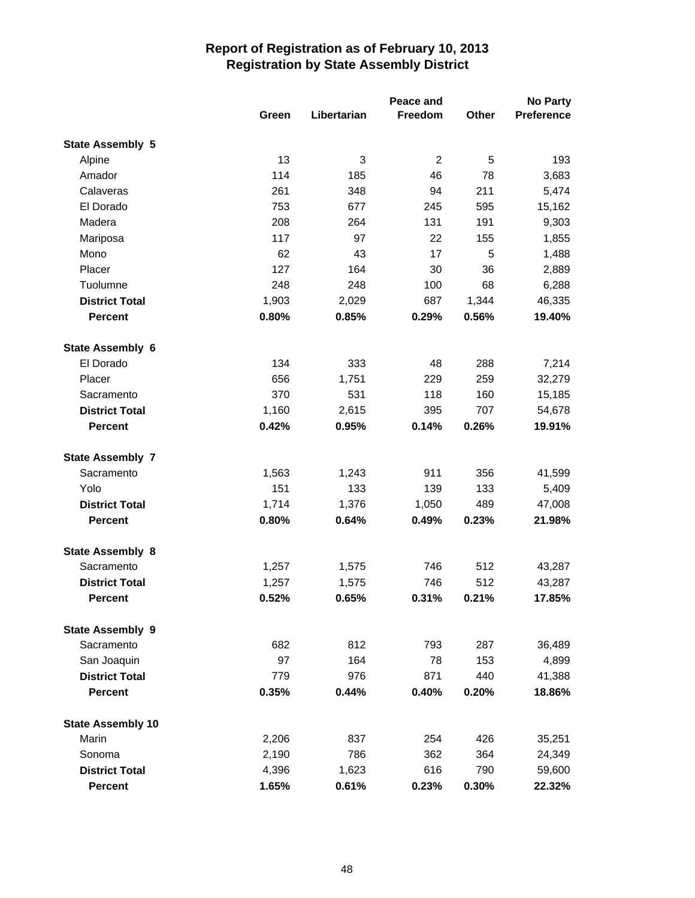|                          | Peace and |             |                |       | <b>No Party</b>   |  |
|--------------------------|-----------|-------------|----------------|-------|-------------------|--|
|                          | Green     | Libertarian | <b>Freedom</b> | Other | <b>Preference</b> |  |
| <b>State Assembly 5</b>  |           |             |                |       |                   |  |
| Alpine                   | 13        | 3           | $\overline{c}$ | 5     | 193               |  |
| Amador                   | 114       | 185         | 46             | 78    | 3,683             |  |
| Calaveras                | 261       | 348         | 94             | 211   | 5,474             |  |
| El Dorado                | 753       | 677         | 245            | 595   | 15,162            |  |
| Madera                   | 208       | 264         | 131            | 191   | 9,303             |  |
| Mariposa                 | 117       | 97          | 22             | 155   | 1,855             |  |
| Mono                     | 62        | 43          | 17             | 5     | 1,488             |  |
| Placer                   | 127       | 164         | 30             | 36    | 2,889             |  |
| Tuolumne                 | 248       | 248         | 100            | 68    | 6,288             |  |
| <b>District Total</b>    | 1,903     | 2,029       | 687            | 1,344 | 46,335            |  |
| <b>Percent</b>           | 0.80%     | 0.85%       | 0.29%          | 0.56% | 19.40%            |  |
| State Assembly 6         |           |             |                |       |                   |  |
| El Dorado                | 134       | 333         | 48             | 288   | 7,214             |  |
| Placer                   | 656       | 1,751       | 229            | 259   | 32,279            |  |
| Sacramento               | 370       | 531         | 118            | 160   | 15,185            |  |
| <b>District Total</b>    | 1,160     | 2,615       | 395            | 707   | 54,678            |  |
| <b>Percent</b>           | 0.42%     | 0.95%       | 0.14%          | 0.26% | 19.91%            |  |
| <b>State Assembly 7</b>  |           |             |                |       |                   |  |
| Sacramento               | 1,563     | 1,243       | 911            | 356   | 41,599            |  |
| Yolo                     | 151       | 133         | 139            | 133   | 5,409             |  |
| <b>District Total</b>    | 1,714     | 1,376       | 1,050          | 489   | 47,008            |  |
| <b>Percent</b>           | 0.80%     | 0.64%       | 0.49%          | 0.23% | 21.98%            |  |
| <b>State Assembly 8</b>  |           |             |                |       |                   |  |
| Sacramento               | 1,257     | 1,575       | 746            | 512   | 43,287            |  |
| <b>District Total</b>    | 1,257     | 1,575       | 746            | 512   | 43,287            |  |
| <b>Percent</b>           | 0.52%     | 0.65%       | 0.31%          | 0.21% | 17.85%            |  |
| <b>State Assembly 9</b>  |           |             |                |       |                   |  |
| Sacramento               | 682       | 812         | 793            | 287   | 36,489            |  |
| San Joaquin              | 97        | 164         | 78             | 153   | 4,899             |  |
| <b>District Total</b>    | 779       | 976         | 871            | 440   | 41,388            |  |
| <b>Percent</b>           | 0.35%     | 0.44%       | 0.40%          | 0.20% | 18.86%            |  |
| <b>State Assembly 10</b> |           |             |                |       |                   |  |
| Marin                    | 2,206     | 837         | 254            | 426   | 35,251            |  |
| Sonoma                   | 2,190     | 786         | 362            | 364   | 24,349            |  |
| <b>District Total</b>    | 4,396     | 1,623       | 616            | 790   | 59,600            |  |
| <b>Percent</b>           | 1.65%     | 0.61%       | 0.23%          | 0.30% | 22.32%            |  |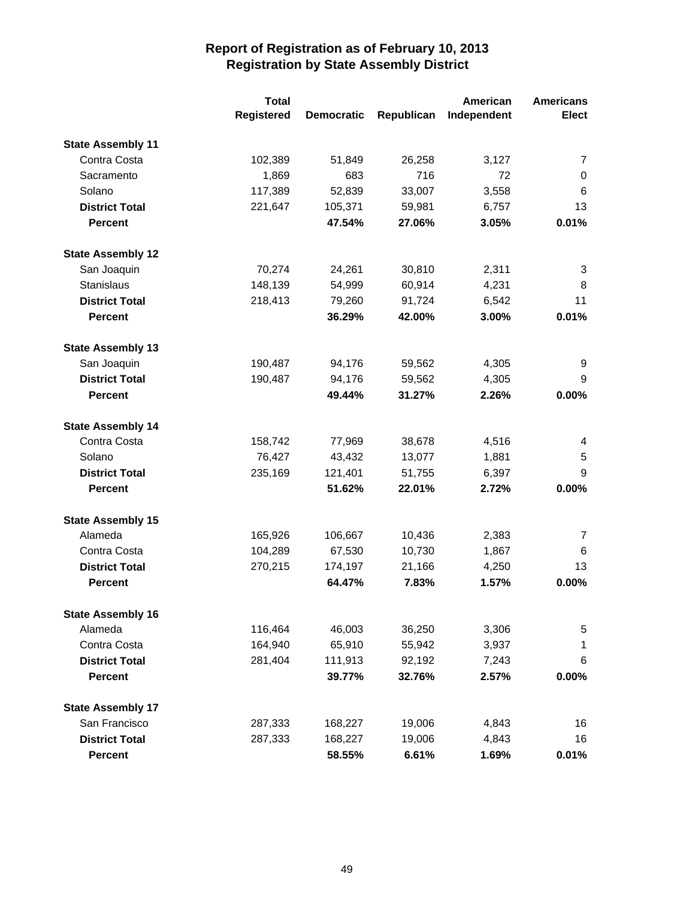|                          | <b>Total</b>      |                   | American   | <b>Americans</b> |                |
|--------------------------|-------------------|-------------------|------------|------------------|----------------|
|                          | <b>Registered</b> | <b>Democratic</b> | Republican | Independent      | <b>Elect</b>   |
| <b>State Assembly 11</b> |                   |                   |            |                  |                |
| Contra Costa             | 102,389           | 51,849            | 26,258     | 3,127            | $\overline{7}$ |
| Sacramento               | 1,869             | 683               | 716        | 72               | 0              |
| Solano                   | 117,389           | 52,839            | 33,007     | 3,558            | 6              |
| <b>District Total</b>    | 221,647           | 105,371           | 59,981     | 6,757            | 13             |
| <b>Percent</b>           |                   | 47.54%            | 27.06%     | 3.05%            | 0.01%          |
| <b>State Assembly 12</b> |                   |                   |            |                  |                |
| San Joaquin              | 70,274            | 24,261            | 30,810     | 2,311            | 3              |
| Stanislaus               | 148,139           | 54,999            | 60,914     | 4,231            | 8              |
| <b>District Total</b>    | 218,413           | 79,260            | 91,724     | 6,542            | 11             |
| <b>Percent</b>           |                   | 36.29%            | 42.00%     | 3.00%            | 0.01%          |
| <b>State Assembly 13</b> |                   |                   |            |                  |                |
| San Joaquin              | 190,487           | 94,176            | 59,562     | 4,305            | 9              |
| <b>District Total</b>    | 190,487           | 94,176            | 59,562     | 4,305            | 9              |
| <b>Percent</b>           |                   | 49.44%            | 31.27%     | 2.26%            | 0.00%          |
| <b>State Assembly 14</b> |                   |                   |            |                  |                |
| Contra Costa             | 158,742           | 77,969            | 38,678     | 4,516            | 4              |
| Solano                   | 76,427            | 43,432            | 13,077     | 1,881            | 5              |
| <b>District Total</b>    | 235,169           | 121,401           | 51,755     | 6,397            | 9              |
| <b>Percent</b>           |                   | 51.62%            | 22.01%     | 2.72%            | 0.00%          |
| <b>State Assembly 15</b> |                   |                   |            |                  |                |
| Alameda                  | 165,926           | 106,667           | 10,436     | 2,383            | 7              |
| Contra Costa             | 104,289           | 67,530            | 10,730     | 1,867            | 6              |
| <b>District Total</b>    | 270,215           | 174,197           | 21,166     | 4,250            | 13             |
| <b>Percent</b>           |                   | 64.47%            | 7.83%      | 1.57%            | 0.00%          |
| <b>State Assembly 16</b> |                   |                   |            |                  |                |
| Alameda                  | 116,464           | 46,003            | 36,250     | 3,306            | 5              |
| Contra Costa             | 164,940           | 65,910            | 55,942     | 3,937            | 1              |
| <b>District Total</b>    | 281,404           | 111,913           | 92,192     | 7,243            | 6              |
| <b>Percent</b>           |                   | 39.77%            | 32.76%     | 2.57%            | 0.00%          |
| <b>State Assembly 17</b> |                   |                   |            |                  |                |
| San Francisco            | 287,333           | 168,227           | 19,006     | 4,843            | 16             |
| <b>District Total</b>    | 287,333           | 168,227           | 19,006     | 4,843            | 16             |
| Percent                  |                   | 58.55%            | 6.61%      | 1.69%            | 0.01%          |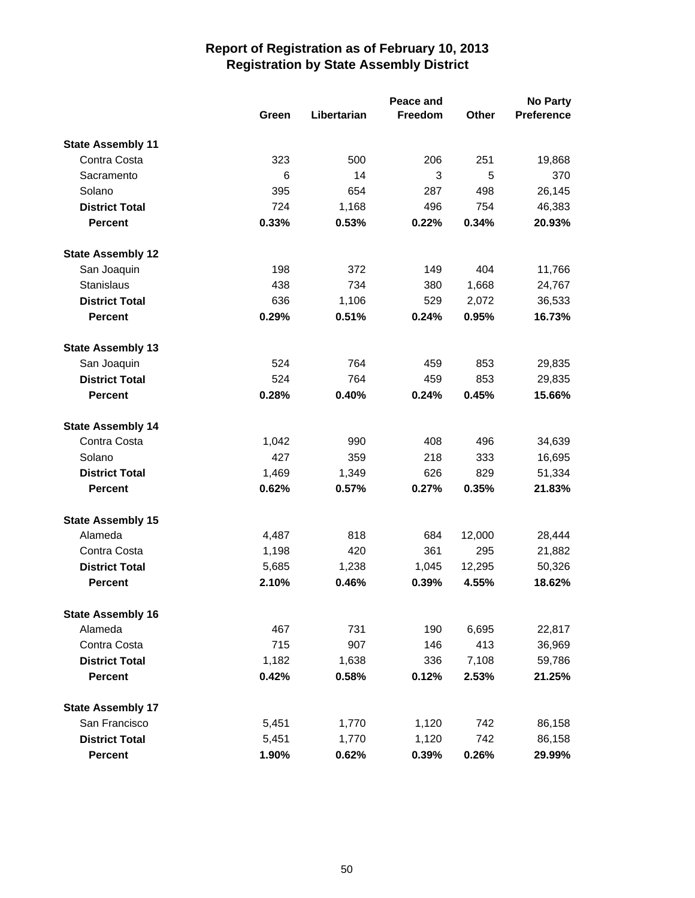|                          | Peace and |             |         |        | <b>No Party</b>   |
|--------------------------|-----------|-------------|---------|--------|-------------------|
|                          | Green     | Libertarian | Freedom | Other  | <b>Preference</b> |
| <b>State Assembly 11</b> |           |             |         |        |                   |
| Contra Costa             | 323       | 500         | 206     | 251    | 19,868            |
| Sacramento               | 6         | 14          | 3       | 5      | 370               |
| Solano                   | 395       | 654         | 287     | 498    | 26,145            |
| <b>District Total</b>    | 724       | 1,168       | 496     | 754    | 46,383            |
| <b>Percent</b>           | 0.33%     | 0.53%       | 0.22%   | 0.34%  | 20.93%            |
| <b>State Assembly 12</b> |           |             |         |        |                   |
| San Joaquin              | 198       | 372         | 149     | 404    | 11,766            |
| Stanislaus               | 438       | 734         | 380     | 1,668  | 24,767            |
| <b>District Total</b>    | 636       | 1,106       | 529     | 2,072  | 36,533            |
| <b>Percent</b>           | 0.29%     | 0.51%       | 0.24%   | 0.95%  | 16.73%            |
| <b>State Assembly 13</b> |           |             |         |        |                   |
| San Joaquin              | 524       | 764         | 459     | 853    | 29,835            |
| <b>District Total</b>    | 524       | 764         | 459     | 853    | 29,835            |
| <b>Percent</b>           | 0.28%     | 0.40%       | 0.24%   | 0.45%  | 15.66%            |
| <b>State Assembly 14</b> |           |             |         |        |                   |
| Contra Costa             | 1,042     | 990         | 408     | 496    | 34,639            |
| Solano                   | 427       | 359         | 218     | 333    | 16,695            |
| <b>District Total</b>    | 1,469     | 1,349       | 626     | 829    | 51,334            |
| <b>Percent</b>           | 0.62%     | 0.57%       | 0.27%   | 0.35%  | 21.83%            |
| <b>State Assembly 15</b> |           |             |         |        |                   |
| Alameda                  | 4,487     | 818         | 684     | 12,000 | 28,444            |
| Contra Costa             | 1,198     | 420         | 361     | 295    | 21,882            |
| <b>District Total</b>    | 5,685     | 1,238       | 1,045   | 12,295 | 50,326            |
| <b>Percent</b>           | 2.10%     | 0.46%       | 0.39%   | 4.55%  | 18.62%            |
| <b>State Assembly 16</b> |           |             |         |        |                   |
| Alameda                  | 467       | 731         | 190     | 6,695  | 22,817            |
| Contra Costa             | 715       | 907         | 146     | 413    | 36,969            |
| <b>District Total</b>    | 1,182     | 1,638       | 336     | 7,108  | 59,786            |
| <b>Percent</b>           | 0.42%     | 0.58%       | 0.12%   | 2.53%  | 21.25%            |
| <b>State Assembly 17</b> |           |             |         |        |                   |
| San Francisco            | 5,451     | 1,770       | 1,120   | 742    | 86,158            |
| <b>District Total</b>    | 5,451     | 1,770       | 1,120   | 742    | 86,158            |
| <b>Percent</b>           | 1.90%     | 0.62%       | 0.39%   | 0.26%  | 29.99%            |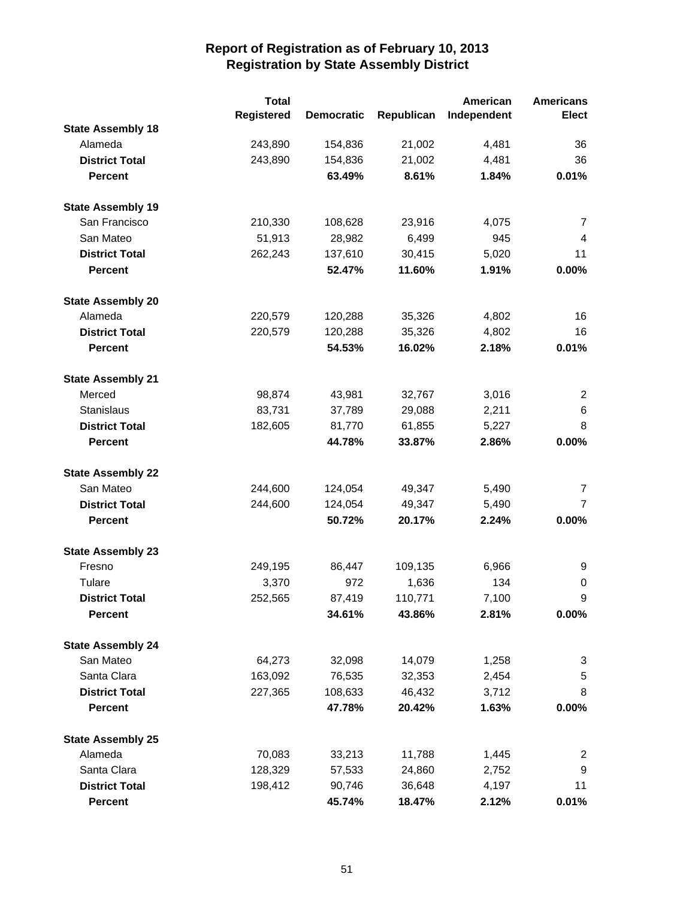|                          | <b>Total</b>      |                   |            | American    | <b>Americans</b> |
|--------------------------|-------------------|-------------------|------------|-------------|------------------|
|                          | <b>Registered</b> | <b>Democratic</b> | Republican | Independent | <b>Elect</b>     |
| <b>State Assembly 18</b> |                   |                   |            |             |                  |
| Alameda                  | 243,890           | 154,836           | 21,002     | 4,481       | 36               |
| <b>District Total</b>    | 243,890           | 154,836           | 21,002     | 4,481       | 36               |
| <b>Percent</b>           |                   | 63.49%            | 8.61%      | 1.84%       | 0.01%            |
| <b>State Assembly 19</b> |                   |                   |            |             |                  |
| San Francisco            | 210,330           | 108,628           | 23,916     | 4,075       | 7                |
| San Mateo                | 51,913            | 28,982            | 6,499      | 945         | $\overline{4}$   |
| <b>District Total</b>    | 262,243           | 137,610           | 30,415     | 5,020       | 11               |
| <b>Percent</b>           |                   | 52.47%            | 11.60%     | 1.91%       | 0.00%            |
| <b>State Assembly 20</b> |                   |                   |            |             |                  |
| Alameda                  | 220,579           | 120,288           | 35,326     | 4,802       | 16               |
| <b>District Total</b>    | 220,579           | 120,288           | 35,326     | 4,802       | 16               |
| Percent                  |                   | 54.53%            | 16.02%     | 2.18%       | 0.01%            |
| <b>State Assembly 21</b> |                   |                   |            |             |                  |
| Merced                   | 98,874            | 43,981            | 32,767     | 3,016       | $\overline{c}$   |
| Stanislaus               | 83,731            | 37,789            | 29,088     | 2,211       | $\,6$            |
| <b>District Total</b>    | 182,605           | 81,770            | 61,855     | 5,227       | 8                |
| <b>Percent</b>           |                   | 44.78%            | 33.87%     | 2.86%       | 0.00%            |
| <b>State Assembly 22</b> |                   |                   |            |             |                  |
| San Mateo                | 244,600           | 124,054           | 49,347     | 5,490       | $\overline{7}$   |
| <b>District Total</b>    | 244,600           | 124,054           | 49,347     | 5,490       | $\overline{7}$   |
| <b>Percent</b>           |                   | 50.72%            | 20.17%     | 2.24%       | 0.00%            |
| <b>State Assembly 23</b> |                   |                   |            |             |                  |
| Fresno                   | 249,195           | 86,447            | 109,135    | 6,966       | 9                |
| Tulare                   | 3,370             | 972               | 1,636      | 134         | $\pmb{0}$        |
| <b>District Total</b>    | 252,565           | 87,419            | 110,771    | 7,100       | 9                |
| <b>Percent</b>           |                   | 34.61%            | 43.86%     | 2.81%       | $0.00\%$         |
| <b>State Assembly 24</b> |                   |                   |            |             |                  |
| San Mateo                | 64,273            | 32,098            | 14,079     | 1,258       | 3                |
| Santa Clara              | 163,092           | 76,535            | 32,353     | 2,454       | 5                |
| <b>District Total</b>    | 227,365           | 108,633           | 46,432     | 3,712       | 8                |
| <b>Percent</b>           |                   | 47.78%            | 20.42%     | 1.63%       | 0.00%            |
| <b>State Assembly 25</b> |                   |                   |            |             |                  |
| Alameda                  | 70,083            | 33,213            | 11,788     | 1,445       | $\overline{c}$   |
| Santa Clara              | 128,329           | 57,533            | 24,860     | 2,752       | 9                |
| <b>District Total</b>    | 198,412           | 90,746            | 36,648     | 4,197       | 11               |
| <b>Percent</b>           |                   | 45.74%            | 18.47%     | 2.12%       | 0.01%            |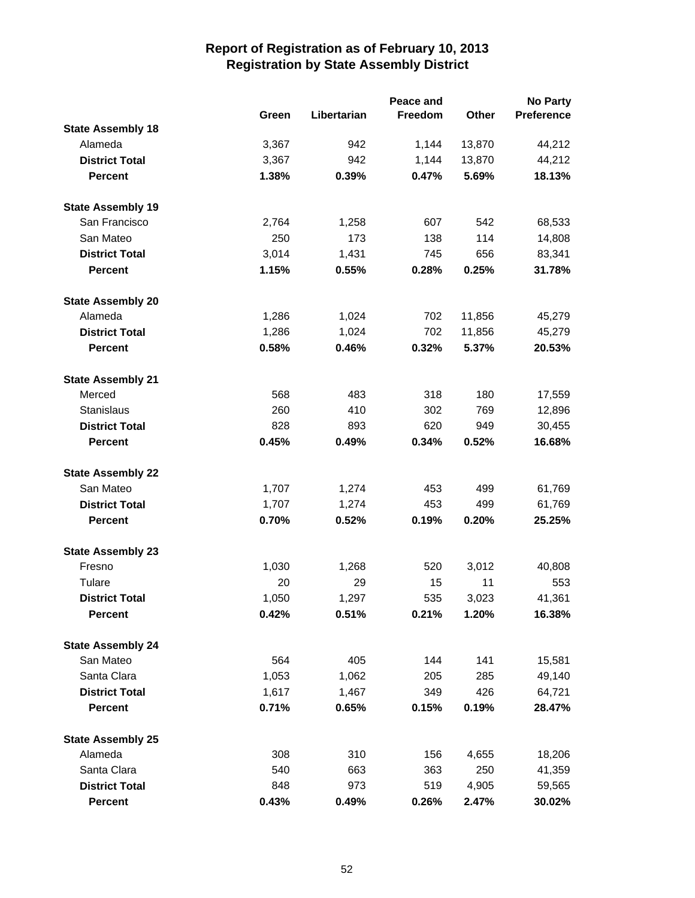|                          |       |             | Peace and |        | <b>No Party</b>   |
|--------------------------|-------|-------------|-----------|--------|-------------------|
|                          | Green | Libertarian | Freedom   | Other  | <b>Preference</b> |
| <b>State Assembly 18</b> |       |             |           |        |                   |
| Alameda                  | 3,367 | 942         | 1,144     | 13,870 | 44,212            |
| <b>District Total</b>    | 3,367 | 942         | 1,144     | 13,870 | 44,212            |
| <b>Percent</b>           | 1.38% | 0.39%       | 0.47%     | 5.69%  | 18.13%            |
| <b>State Assembly 19</b> |       |             |           |        |                   |
| San Francisco            | 2,764 | 1,258       | 607       | 542    | 68,533            |
| San Mateo                | 250   | 173         | 138       | 114    | 14,808            |
| <b>District Total</b>    | 3,014 | 1,431       | 745       | 656    | 83,341            |
| <b>Percent</b>           | 1.15% | 0.55%       | 0.28%     | 0.25%  | 31.78%            |
| <b>State Assembly 20</b> |       |             |           |        |                   |
| Alameda                  | 1,286 | 1,024       | 702       | 11,856 | 45,279            |
| <b>District Total</b>    | 1,286 | 1,024       | 702       | 11,856 | 45,279            |
| <b>Percent</b>           | 0.58% | 0.46%       | 0.32%     | 5.37%  | 20.53%            |
| <b>State Assembly 21</b> |       |             |           |        |                   |
| Merced                   | 568   | 483         | 318       | 180    | 17,559            |
| <b>Stanislaus</b>        | 260   | 410         | 302       | 769    | 12,896            |
| <b>District Total</b>    | 828   | 893         | 620       | 949    | 30,455            |
| <b>Percent</b>           | 0.45% | 0.49%       | 0.34%     | 0.52%  | 16.68%            |
| <b>State Assembly 22</b> |       |             |           |        |                   |
| San Mateo                | 1,707 | 1,274       | 453       | 499    | 61,769            |
| <b>District Total</b>    | 1,707 | 1,274       | 453       | 499    | 61,769            |
| <b>Percent</b>           | 0.70% | 0.52%       | 0.19%     | 0.20%  | 25.25%            |
| <b>State Assembly 23</b> |       |             |           |        |                   |
| Fresno                   | 1,030 | 1,268       | 520       | 3,012  | 40,808            |
| Tulare                   | 20    | 29          | 15        | 11     | 553               |
| <b>District Total</b>    | 1,050 | 1,297       | 535       | 3,023  | 41,361            |
| <b>Percent</b>           | 0.42% | 0.51%       | 0.21%     | 1.20%  | 16.38%            |
| <b>State Assembly 24</b> |       |             |           |        |                   |
| San Mateo                | 564   | 405         | 144       | 141    | 15,581            |
| Santa Clara              | 1,053 | 1,062       | 205       | 285    | 49,140            |
| <b>District Total</b>    | 1,617 | 1,467       | 349       | 426    | 64,721            |
| <b>Percent</b>           | 0.71% | 0.65%       | 0.15%     | 0.19%  | 28.47%            |
| <b>State Assembly 25</b> |       |             |           |        |                   |
| Alameda                  | 308   | 310         | 156       | 4,655  | 18,206            |
| Santa Clara              | 540   | 663         | 363       | 250    | 41,359            |
| <b>District Total</b>    | 848   | 973         | 519       | 4,905  | 59,565            |
| <b>Percent</b>           | 0.43% | 0.49%       | 0.26%     | 2.47%  | 30.02%            |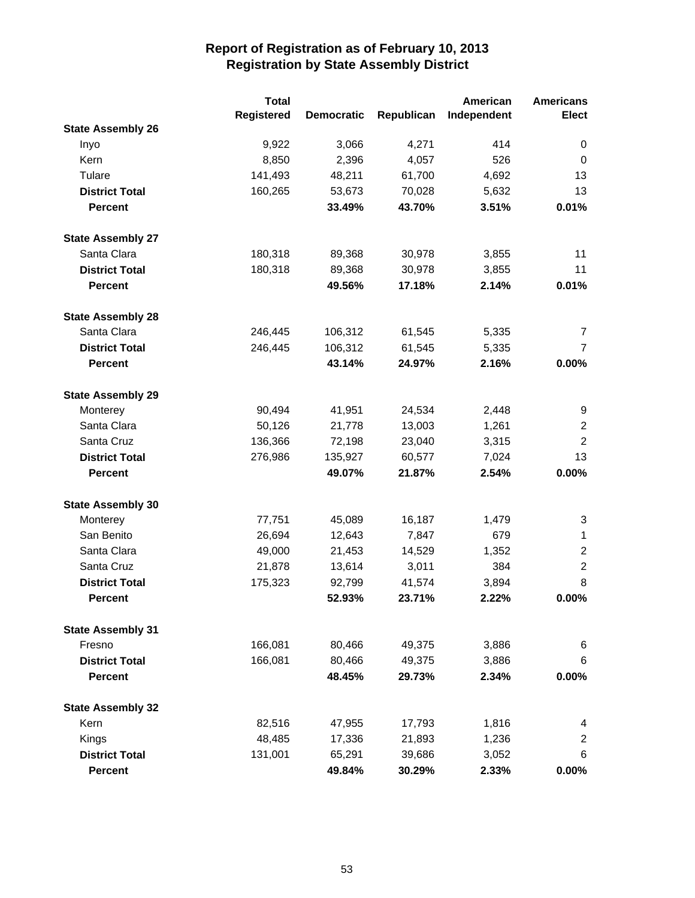|                          | <b>Total</b>      |                   |            | American    | <b>Americans</b> |
|--------------------------|-------------------|-------------------|------------|-------------|------------------|
|                          | <b>Registered</b> | <b>Democratic</b> | Republican | Independent | <b>Elect</b>     |
| <b>State Assembly 26</b> |                   |                   |            |             |                  |
| Inyo                     | 9,922             | 3,066             | 4,271      | 414         | 0                |
| Kern                     | 8,850             | 2,396             | 4,057      | 526         | $\mathbf 0$      |
| Tulare                   | 141,493           | 48,211            | 61,700     | 4,692       | 13               |
| <b>District Total</b>    | 160,265           | 53,673            | 70,028     | 5,632       | 13               |
| <b>Percent</b>           |                   | 33.49%            | 43.70%     | 3.51%       | 0.01%            |
| <b>State Assembly 27</b> |                   |                   |            |             |                  |
| Santa Clara              | 180,318           | 89,368            | 30,978     | 3,855       | 11               |
| <b>District Total</b>    | 180,318           | 89,368            | 30,978     | 3,855       | 11               |
| <b>Percent</b>           |                   | 49.56%            | 17.18%     | 2.14%       | 0.01%            |
| <b>State Assembly 28</b> |                   |                   |            |             |                  |
| Santa Clara              | 246,445           | 106,312           | 61,545     | 5,335       | 7                |
| <b>District Total</b>    | 246,445           | 106,312           | 61,545     | 5,335       | $\overline{7}$   |
| <b>Percent</b>           |                   | 43.14%            | 24.97%     | 2.16%       | 0.00%            |
| <b>State Assembly 29</b> |                   |                   |            |             |                  |
| Monterey                 | 90,494            | 41,951            | 24,534     | 2,448       | 9                |
| Santa Clara              | 50,126            | 21,778            | 13,003     | 1,261       | $\overline{2}$   |
| Santa Cruz               | 136,366           | 72,198            | 23,040     | 3,315       | $\overline{2}$   |
| <b>District Total</b>    | 276,986           | 135,927           | 60,577     | 7,024       | 13               |
| <b>Percent</b>           |                   | 49.07%            | 21.87%     | 2.54%       | 0.00%            |
| <b>State Assembly 30</b> |                   |                   |            |             |                  |
| Monterey                 | 77,751            | 45,089            | 16,187     | 1,479       | 3                |
| San Benito               | 26,694            | 12,643            | 7,847      | 679         | 1                |
| Santa Clara              | 49,000            | 21,453            | 14,529     | 1,352       | $\overline{2}$   |
| Santa Cruz               | 21,878            | 13,614            | 3,011      | 384         | $\overline{2}$   |
| <b>District Total</b>    | 175,323           | 92,799            | 41,574     | 3,894       | 8                |
| <b>Percent</b>           |                   | 52.93%            | 23.71%     | 2.22%       | 0.00%            |
| <b>State Assembly 31</b> |                   |                   |            |             |                  |
| Fresno                   | 166,081           | 80,466            | 49,375     | 3,886       | 6                |
| <b>District Total</b>    | 166,081           | 80,466            | 49,375     | 3,886       | 6                |
| <b>Percent</b>           |                   | 48.45%            | 29.73%     | 2.34%       | 0.00%            |
| <b>State Assembly 32</b> |                   |                   |            |             |                  |
| Kern                     | 82,516            | 47,955            | 17,793     | 1,816       | 4                |
| Kings                    | 48,485            | 17,336            | 21,893     | 1,236       | 2                |
| <b>District Total</b>    | 131,001           | 65,291            | 39,686     | 3,052       | 6                |
| <b>Percent</b>           |                   | 49.84%            | 30.29%     | 2.33%       | 0.00%            |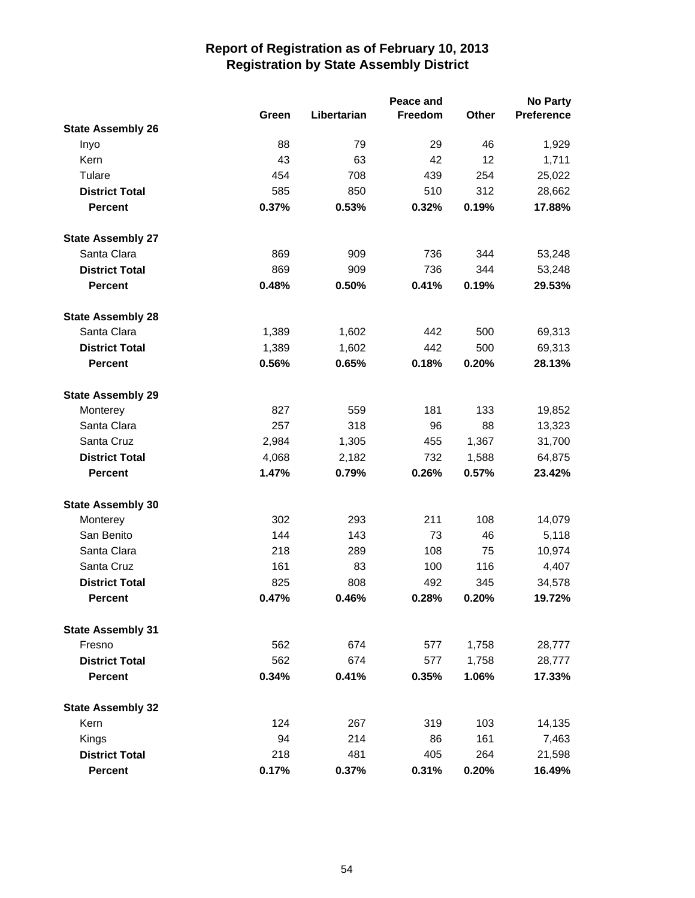|                          |       |             | Peace and |       | <b>No Party</b>   |
|--------------------------|-------|-------------|-----------|-------|-------------------|
|                          | Green | Libertarian | Freedom   | Other | <b>Preference</b> |
| <b>State Assembly 26</b> |       |             |           |       |                   |
| Inyo                     | 88    | 79          | 29        | 46    | 1,929             |
| Kern                     | 43    | 63          | 42        | 12    | 1,711             |
| Tulare                   | 454   | 708         | 439       | 254   | 25,022            |
| <b>District Total</b>    | 585   | 850         | 510       | 312   | 28,662            |
| <b>Percent</b>           | 0.37% | 0.53%       | 0.32%     | 0.19% | 17.88%            |
| <b>State Assembly 27</b> |       |             |           |       |                   |
| Santa Clara              | 869   | 909         | 736       | 344   | 53,248            |
| <b>District Total</b>    | 869   | 909         | 736       | 344   | 53,248            |
| <b>Percent</b>           | 0.48% | 0.50%       | 0.41%     | 0.19% | 29.53%            |
| <b>State Assembly 28</b> |       |             |           |       |                   |
| Santa Clara              | 1,389 | 1,602       | 442       | 500   | 69,313            |
| <b>District Total</b>    | 1,389 | 1,602       | 442       | 500   | 69,313            |
| <b>Percent</b>           | 0.56% | 0.65%       | 0.18%     | 0.20% | 28.13%            |
| <b>State Assembly 29</b> |       |             |           |       |                   |
| Monterey                 | 827   | 559         | 181       | 133   | 19,852            |
| Santa Clara              | 257   | 318         | 96        | 88    | 13,323            |
| Santa Cruz               | 2,984 | 1,305       | 455       | 1,367 | 31,700            |
| <b>District Total</b>    | 4,068 | 2,182       | 732       | 1,588 | 64,875            |
| <b>Percent</b>           | 1.47% | 0.79%       | 0.26%     | 0.57% | 23.42%            |
| <b>State Assembly 30</b> |       |             |           |       |                   |
| Monterey                 | 302   | 293         | 211       | 108   | 14,079            |
| San Benito               | 144   | 143         | 73        | 46    | 5,118             |
| Santa Clara              | 218   | 289         | 108       | 75    | 10,974            |
| Santa Cruz               | 161   | 83          | 100       | 116   | 4,407             |
| <b>District Total</b>    | 825   | 808         | 492       | 345   | 34,578            |
| <b>Percent</b>           | 0.47% | 0.46%       | 0.28%     | 0.20% | 19.72%            |
| <b>State Assembly 31</b> |       |             |           |       |                   |
| Fresno                   | 562   | 674         | 577       | 1,758 | 28,777            |
| <b>District Total</b>    | 562   | 674         | 577       | 1,758 | 28,777            |
| <b>Percent</b>           | 0.34% | 0.41%       | 0.35%     | 1.06% | 17.33%            |
| <b>State Assembly 32</b> |       |             |           |       |                   |
| Kern                     | 124   | 267         | 319       | 103   | 14,135            |
| Kings                    | 94    | 214         | 86        | 161   | 7,463             |
| <b>District Total</b>    | 218   | 481         | 405       | 264   | 21,598            |
| <b>Percent</b>           | 0.17% | 0.37%       | 0.31%     | 0.20% | 16.49%            |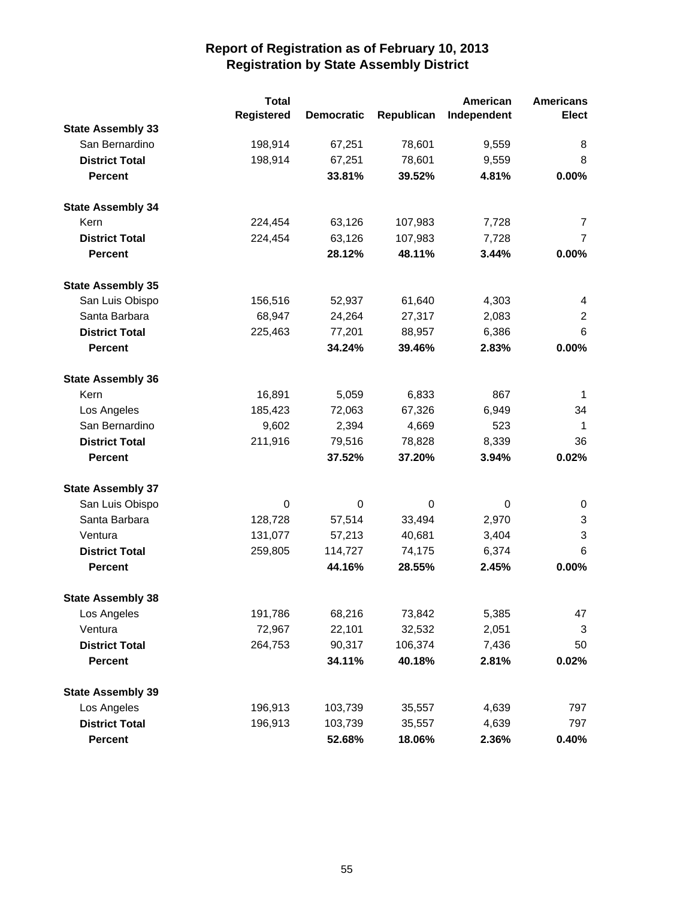|                          | <b>Total</b> |                   |            | American    | <b>Americans</b> |
|--------------------------|--------------|-------------------|------------|-------------|------------------|
|                          | Registered   | <b>Democratic</b> | Republican | Independent | <b>Elect</b>     |
| <b>State Assembly 33</b> |              |                   |            |             |                  |
| San Bernardino           | 198,914      | 67,251            | 78,601     | 9,559       | 8                |
| <b>District Total</b>    | 198,914      | 67,251            | 78,601     | 9,559       | 8                |
| <b>Percent</b>           |              | 33.81%            | 39.52%     | 4.81%       | 0.00%            |
| <b>State Assembly 34</b> |              |                   |            |             |                  |
| Kern                     | 224,454      | 63,126            | 107,983    | 7,728       | 7                |
| <b>District Total</b>    | 224,454      | 63,126            | 107,983    | 7,728       | $\overline{7}$   |
| <b>Percent</b>           |              | 28.12%            | 48.11%     | 3.44%       | 0.00%            |
| <b>State Assembly 35</b> |              |                   |            |             |                  |
| San Luis Obispo          | 156,516      | 52,937            | 61,640     | 4,303       | 4                |
| Santa Barbara            | 68,947       | 24,264            | 27,317     | 2,083       | 2                |
| <b>District Total</b>    | 225,463      | 77,201            | 88,957     | 6,386       | 6                |
| <b>Percent</b>           |              | 34.24%            | 39.46%     | 2.83%       | 0.00%            |
| <b>State Assembly 36</b> |              |                   |            |             |                  |
| Kern                     | 16,891       | 5,059             | 6,833      | 867         | $\mathbf{1}$     |
| Los Angeles              | 185,423      | 72,063            | 67,326     | 6,949       | 34               |
| San Bernardino           | 9,602        | 2,394             | 4,669      | 523         | $\mathbf{1}$     |
| <b>District Total</b>    | 211,916      | 79,516            | 78,828     | 8,339       | 36               |
| <b>Percent</b>           |              | 37.52%            | 37.20%     | 3.94%       | 0.02%            |
| <b>State Assembly 37</b> |              |                   |            |             |                  |
| San Luis Obispo          | 0            | 0                 | 0          | 0           | 0                |
| Santa Barbara            | 128,728      | 57,514            | 33,494     | 2,970       | 3                |
| Ventura                  | 131,077      | 57,213            | 40,681     | 3,404       | 3                |
| <b>District Total</b>    | 259,805      | 114,727           | 74,175     | 6,374       | 6                |
| <b>Percent</b>           |              | 44.16%            | 28.55%     | 2.45%       | 0.00%            |
| <b>State Assembly 38</b> |              |                   |            |             |                  |
| Los Angeles              | 191,786      | 68,216            | 73,842     | 5,385       | 47               |
| Ventura                  | 72,967       | 22,101            | 32,532     | 2,051       | 3                |
| <b>District Total</b>    | 264,753      | 90,317            | 106,374    | 7,436       | 50               |
| <b>Percent</b>           |              | 34.11%            | 40.18%     | 2.81%       | 0.02%            |
| <b>State Assembly 39</b> |              |                   |            |             |                  |
| Los Angeles              | 196,913      | 103,739           | 35,557     | 4,639       | 797              |
| <b>District Total</b>    | 196,913      | 103,739           | 35,557     | 4,639       | 797              |
| Percent                  |              | 52.68%            | 18.06%     | 2.36%       | 0.40%            |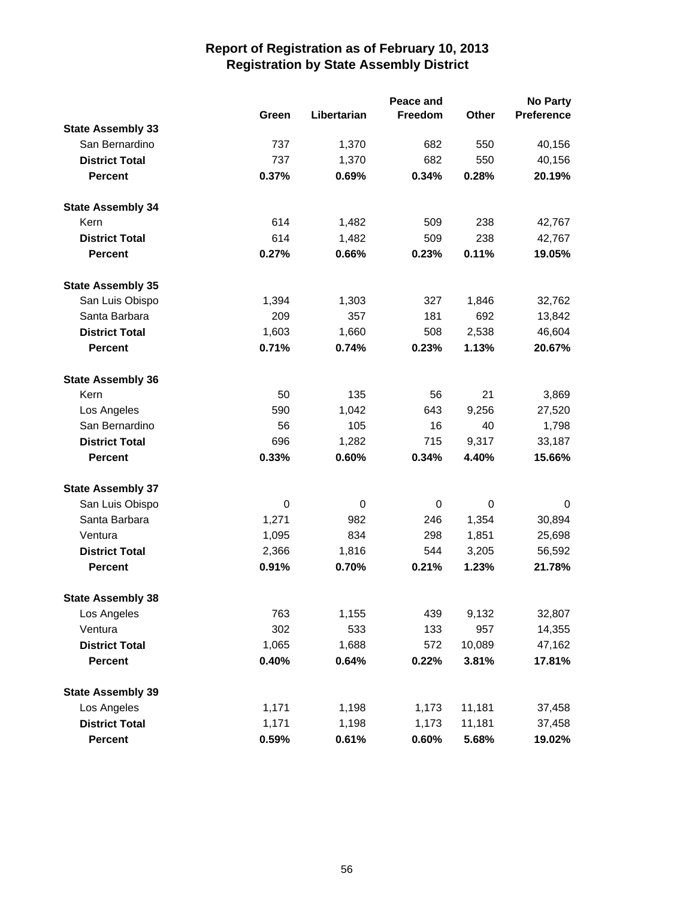|                          |                  |             | Peace and |                  | <b>No Party</b> |
|--------------------------|------------------|-------------|-----------|------------------|-----------------|
|                          | Green            | Libertarian | Freedom   | Other            | Preference      |
| <b>State Assembly 33</b> |                  |             |           |                  |                 |
| San Bernardino           | 737              | 1,370       | 682       | 550              | 40,156          |
| <b>District Total</b>    | 737              | 1,370       | 682       | 550              | 40,156          |
| <b>Percent</b>           | 0.37%            | 0.69%       | 0.34%     | 0.28%            | 20.19%          |
| <b>State Assembly 34</b> |                  |             |           |                  |                 |
| Kern                     | 614              | 1,482       | 509       | 238              | 42,767          |
| <b>District Total</b>    | 614              | 1,482       | 509       | 238              | 42,767          |
| <b>Percent</b>           | 0.27%            | 0.66%       | 0.23%     | 0.11%            | 19.05%          |
| <b>State Assembly 35</b> |                  |             |           |                  |                 |
| San Luis Obispo          | 1,394            | 1,303       | 327       | 1,846            | 32,762          |
| Santa Barbara            | 209              | 357         | 181       | 692              | 13,842          |
| <b>District Total</b>    | 1,603            | 1,660       | 508       | 2,538            | 46,604          |
| <b>Percent</b>           | 0.71%            | 0.74%       | 0.23%     | 1.13%            | 20.67%          |
| <b>State Assembly 36</b> |                  |             |           |                  |                 |
| Kern                     | 50               | 135         | 56        | 21               | 3,869           |
| Los Angeles              | 590              | 1,042       | 643       | 9,256            | 27,520          |
| San Bernardino           | 56               | 105         | 16        | 40               | 1,798           |
| <b>District Total</b>    | 696              | 1,282       | 715       | 9,317            | 33,187          |
| <b>Percent</b>           | 0.33%            | 0.60%       | 0.34%     | 4.40%            | 15.66%          |
| <b>State Assembly 37</b> |                  |             |           |                  |                 |
| San Luis Obispo          | $\boldsymbol{0}$ | 0           | 0         | $\boldsymbol{0}$ | 0               |
| Santa Barbara            | 1,271            | 982         | 246       | 1,354            | 30,894          |
| Ventura                  | 1,095            | 834         | 298       | 1,851            | 25,698          |
| <b>District Total</b>    | 2,366            | 1,816       | 544       | 3,205            | 56,592          |
| <b>Percent</b>           | 0.91%            | 0.70%       | 0.21%     | 1.23%            | 21.78%          |
| <b>State Assembly 38</b> |                  |             |           |                  |                 |
| Los Angeles              | 763              | 1,155       | 439       | 9,132            | 32,807          |
| Ventura                  | 302              | 533         | 133       | 957              | 14,355          |
| <b>District Total</b>    | 1,065            | 1,688       | 572       | 10,089           | 47,162          |
| <b>Percent</b>           | 0.40%            | 0.64%       | 0.22%     | 3.81%            | 17.81%          |
| <b>State Assembly 39</b> |                  |             |           |                  |                 |
| Los Angeles              | 1,171            | 1,198       | 1,173     | 11,181           | 37,458          |
| <b>District Total</b>    | 1,171            | 1,198       | 1,173     | 11,181           | 37,458          |
| <b>Percent</b>           | 0.59%            | 0.61%       | 0.60%     | 5.68%            | 19.02%          |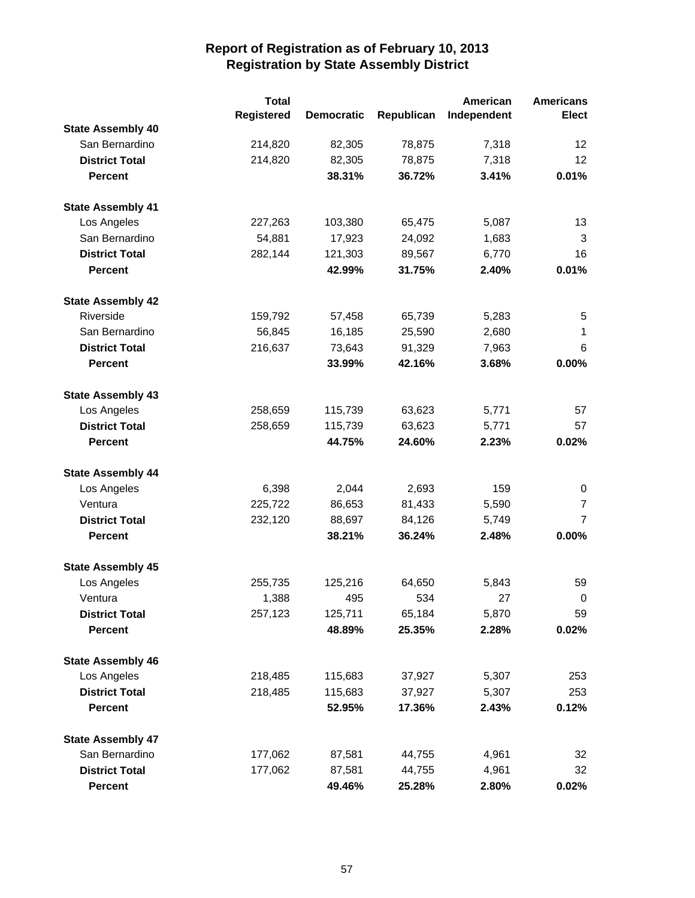|                          | <b>Total</b> |                   |            | American    | <b>Americans</b> |
|--------------------------|--------------|-------------------|------------|-------------|------------------|
|                          | Registered   | <b>Democratic</b> | Republican | Independent | <b>Elect</b>     |
| <b>State Assembly 40</b> |              |                   |            |             |                  |
| San Bernardino           | 214,820      | 82,305            | 78,875     | 7,318       | 12               |
| <b>District Total</b>    | 214,820      | 82,305            | 78,875     | 7,318       | 12               |
| <b>Percent</b>           |              | 38.31%            | 36.72%     | 3.41%       | 0.01%            |
| <b>State Assembly 41</b> |              |                   |            |             |                  |
| Los Angeles              | 227,263      | 103,380           | 65,475     | 5,087       | 13               |
| San Bernardino           | 54,881       | 17,923            | 24,092     | 1,683       | 3                |
| <b>District Total</b>    | 282,144      | 121,303           | 89,567     | 6,770       | 16               |
| <b>Percent</b>           |              | 42.99%            | 31.75%     | 2.40%       | 0.01%            |
| <b>State Assembly 42</b> |              |                   |            |             |                  |
| Riverside                | 159,792      | 57,458            | 65,739     | 5,283       | 5                |
| San Bernardino           | 56,845       | 16,185            | 25,590     | 2,680       | 1                |
| <b>District Total</b>    | 216,637      | 73,643            | 91,329     | 7,963       | 6                |
| <b>Percent</b>           |              | 33.99%            | 42.16%     | 3.68%       | 0.00%            |
| <b>State Assembly 43</b> |              |                   |            |             |                  |
| Los Angeles              | 258,659      | 115,739           | 63,623     | 5,771       | 57               |
| <b>District Total</b>    | 258,659      | 115,739           | 63,623     | 5,771       | 57               |
| <b>Percent</b>           |              | 44.75%            | 24.60%     | 2.23%       | 0.02%            |
| <b>State Assembly 44</b> |              |                   |            |             |                  |
| Los Angeles              | 6,398        | 2,044             | 2,693      | 159         | 0                |
| Ventura                  | 225,722      | 86,653            | 81,433     | 5,590       | $\overline{7}$   |
| <b>District Total</b>    | 232,120      | 88,697            | 84,126     | 5,749       | $\overline{7}$   |
| <b>Percent</b>           |              | 38.21%            | 36.24%     | 2.48%       | 0.00%            |
| <b>State Assembly 45</b> |              |                   |            |             |                  |
| Los Angeles              | 255,735      | 125,216           | 64,650     | 5,843       | 59               |
| Ventura                  | 1,388        | 495               | 534        | 27          | 0                |
| <b>District Total</b>    | 257,123      | 125,711           | 65,184     | 5,870       | 59               |
| <b>Percent</b>           |              | 48.89%            | 25.35%     | 2.28%       | 0.02%            |
| <b>State Assembly 46</b> |              |                   |            |             |                  |
| Los Angeles              | 218,485      | 115,683           | 37,927     | 5,307       | 253              |
| <b>District Total</b>    | 218,485      | 115,683           | 37,927     | 5,307       | 253              |
| <b>Percent</b>           |              | 52.95%            | 17.36%     | 2.43%       | 0.12%            |
| <b>State Assembly 47</b> |              |                   |            |             |                  |
| San Bernardino           | 177,062      | 87,581            | 44,755     | 4,961       | 32               |
| <b>District Total</b>    | 177,062      | 87,581            | 44,755     | 4,961       | 32               |
| <b>Percent</b>           |              | 49.46%            | 25.28%     | 2.80%       | 0.02%            |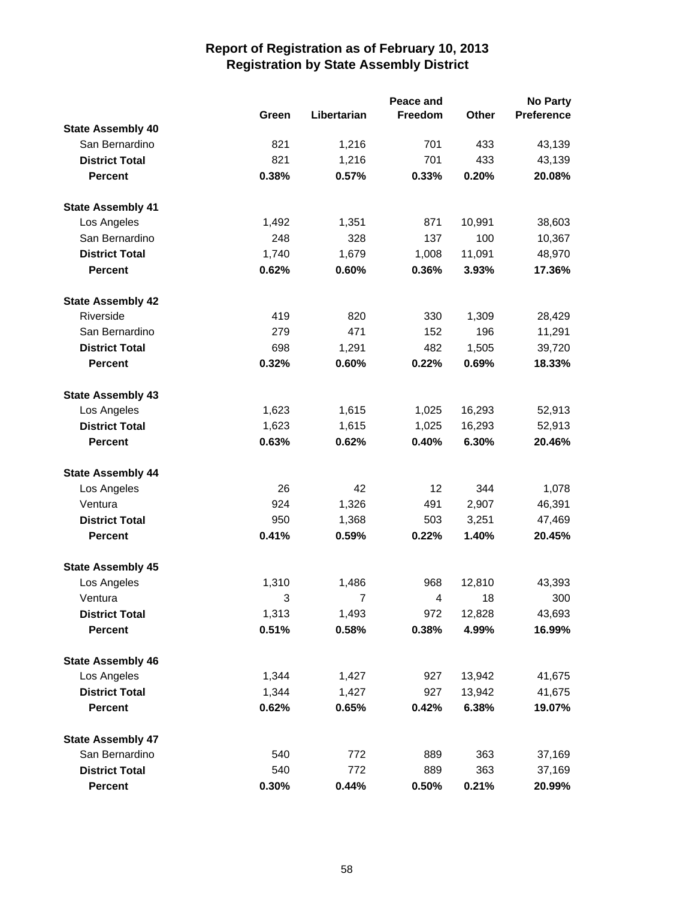|                          |       |                | Peace and |        | <b>No Party</b>   |
|--------------------------|-------|----------------|-----------|--------|-------------------|
|                          | Green | Libertarian    | Freedom   | Other  | <b>Preference</b> |
| <b>State Assembly 40</b> |       |                |           |        |                   |
| San Bernardino           | 821   | 1,216          | 701       | 433    | 43,139            |
| <b>District Total</b>    | 821   | 1,216          | 701       | 433    | 43,139            |
| <b>Percent</b>           | 0.38% | 0.57%          | 0.33%     | 0.20%  | 20.08%            |
| <b>State Assembly 41</b> |       |                |           |        |                   |
| Los Angeles              | 1,492 | 1,351          | 871       | 10,991 | 38,603            |
| San Bernardino           | 248   | 328            | 137       | 100    | 10,367            |
| <b>District Total</b>    | 1,740 | 1,679          | 1,008     | 11,091 | 48,970            |
| <b>Percent</b>           | 0.62% | 0.60%          | 0.36%     | 3.93%  | 17.36%            |
| <b>State Assembly 42</b> |       |                |           |        |                   |
| Riverside                | 419   | 820            | 330       | 1,309  | 28,429            |
| San Bernardino           | 279   | 471            | 152       | 196    | 11,291            |
| <b>District Total</b>    | 698   | 1,291          | 482       | 1,505  | 39,720            |
| <b>Percent</b>           | 0.32% | 0.60%          | 0.22%     | 0.69%  | 18.33%            |
| <b>State Assembly 43</b> |       |                |           |        |                   |
| Los Angeles              | 1,623 | 1,615          | 1,025     | 16,293 | 52,913            |
| <b>District Total</b>    | 1,623 | 1,615          | 1,025     | 16,293 | 52,913            |
| <b>Percent</b>           | 0.63% | 0.62%          | 0.40%     | 6.30%  | 20.46%            |
| <b>State Assembly 44</b> |       |                |           |        |                   |
| Los Angeles              | 26    | 42             | 12        | 344    | 1,078             |
| Ventura                  | 924   | 1,326          | 491       | 2,907  | 46,391            |
| <b>District Total</b>    | 950   | 1,368          | 503       | 3,251  | 47,469            |
| <b>Percent</b>           | 0.41% | 0.59%          | 0.22%     | 1.40%  | 20.45%            |
| <b>State Assembly 45</b> |       |                |           |        |                   |
| Los Angeles              | 1,310 | 1,486          | 968       | 12,810 | 43,393            |
| Ventura                  | 3     | $\overline{7}$ | 4         | 18     | 300               |
| <b>District Total</b>    | 1,313 | 1,493          | 972       | 12,828 | 43,693            |
| <b>Percent</b>           | 0.51% | 0.58%          | 0.38%     | 4.99%  | 16.99%            |
| <b>State Assembly 46</b> |       |                |           |        |                   |
| Los Angeles              | 1,344 | 1,427          | 927       | 13,942 | 41,675            |
| <b>District Total</b>    | 1,344 | 1,427          | 927       | 13,942 | 41,675            |
| <b>Percent</b>           | 0.62% | 0.65%          | 0.42%     | 6.38%  | 19.07%            |
| <b>State Assembly 47</b> |       |                |           |        |                   |
| San Bernardino           | 540   | 772            | 889       | 363    | 37,169            |
| <b>District Total</b>    | 540   | 772            | 889       | 363    | 37,169            |
| <b>Percent</b>           | 0.30% | 0.44%          | 0.50%     | 0.21%  | 20.99%            |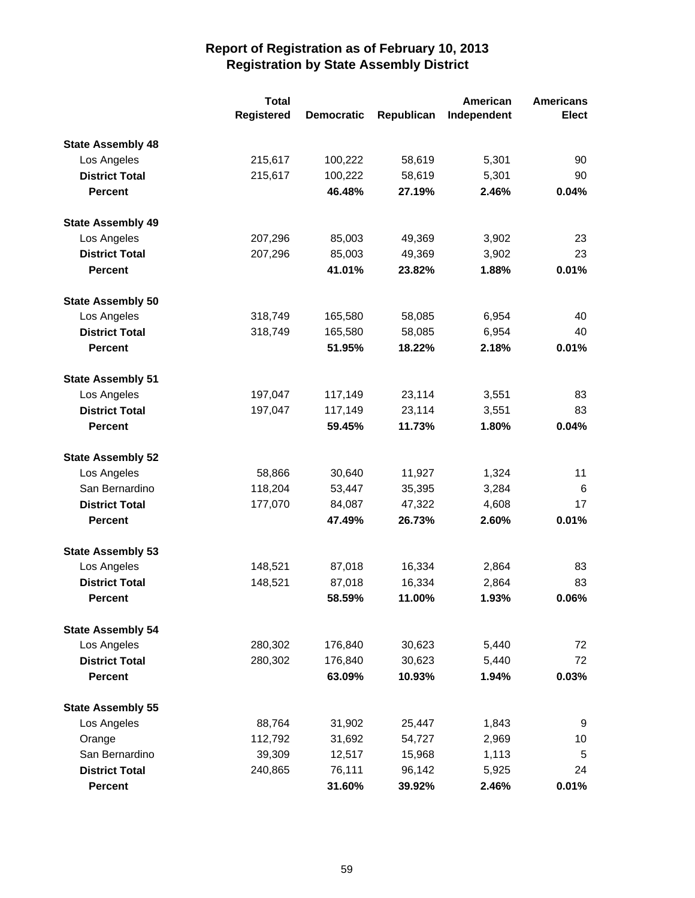|                          | <b>Total</b> |                   |            | American    | <b>Americans</b> |
|--------------------------|--------------|-------------------|------------|-------------|------------------|
|                          | Registered   | <b>Democratic</b> | Republican | Independent | <b>Elect</b>     |
| <b>State Assembly 48</b> |              |                   |            |             |                  |
| Los Angeles              | 215,617      | 100,222           | 58,619     | 5,301       | 90               |
| <b>District Total</b>    | 215,617      | 100,222           | 58,619     | 5,301       | 90               |
| <b>Percent</b>           |              | 46.48%            | 27.19%     | 2.46%       | 0.04%            |
| <b>State Assembly 49</b> |              |                   |            |             |                  |
| Los Angeles              | 207,296      | 85,003            | 49,369     | 3,902       | 23               |
| <b>District Total</b>    | 207,296      | 85,003            | 49,369     | 3,902       | 23               |
| <b>Percent</b>           |              | 41.01%            | 23.82%     | 1.88%       | 0.01%            |
| <b>State Assembly 50</b> |              |                   |            |             |                  |
| Los Angeles              | 318,749      | 165,580           | 58,085     | 6,954       | 40               |
| <b>District Total</b>    | 318,749      | 165,580           | 58,085     | 6,954       | 40               |
| <b>Percent</b>           |              | 51.95%            | 18.22%     | 2.18%       | 0.01%            |
| <b>State Assembly 51</b> |              |                   |            |             |                  |
| Los Angeles              | 197,047      | 117,149           | 23,114     | 3,551       | 83               |
| <b>District Total</b>    | 197,047      | 117,149           | 23,114     | 3,551       | 83               |
| <b>Percent</b>           |              | 59.45%            | 11.73%     | 1.80%       | 0.04%            |
| <b>State Assembly 52</b> |              |                   |            |             |                  |
| Los Angeles              | 58,866       | 30,640            | 11,927     | 1,324       | 11               |
| San Bernardino           | 118,204      | 53,447            | 35,395     | 3,284       | 6                |
| <b>District Total</b>    | 177,070      | 84,087            | 47,322     | 4,608       | 17               |
| <b>Percent</b>           |              | 47.49%            | 26.73%     | 2.60%       | 0.01%            |
| <b>State Assembly 53</b> |              |                   |            |             |                  |
| Los Angeles              | 148,521      | 87,018            | 16,334     | 2,864       | 83               |
| <b>District Total</b>    | 148,521      | 87,018            | 16,334     | 2,864       | 83               |
| <b>Percent</b>           |              | 58.59%            | 11.00%     | 1.93%       | 0.06%            |
| <b>State Assembly 54</b> |              |                   |            |             |                  |
| Los Angeles              | 280,302      | 176,840           | 30,623     | 5,440       | 72               |
| <b>District Total</b>    | 280,302      | 176,840           | 30,623     | 5,440       | 72               |
| <b>Percent</b>           |              | 63.09%            | 10.93%     | 1.94%       | 0.03%            |
| <b>State Assembly 55</b> |              |                   |            |             |                  |
| Los Angeles              | 88,764       | 31,902            | 25,447     | 1,843       | 9                |
| Orange                   | 112,792      | 31,692            | 54,727     | 2,969       | 10               |
| San Bernardino           | 39,309       | 12,517            | 15,968     | 1,113       | 5                |
| <b>District Total</b>    | 240,865      | 76,111            | 96,142     | 5,925       | 24               |
| <b>Percent</b>           |              | 31.60%            | 39.92%     | 2.46%       | 0.01%            |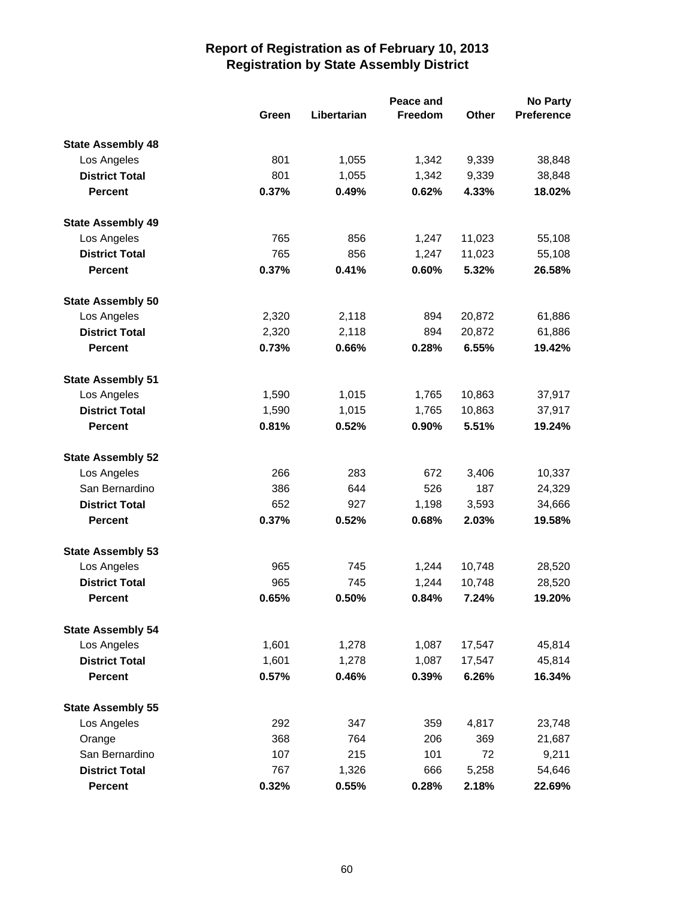|                          |       | Peace and   |                |              | <b>No Party</b>   |  |  |
|--------------------------|-------|-------------|----------------|--------------|-------------------|--|--|
|                          | Green | Libertarian | <b>Freedom</b> | <b>Other</b> | <b>Preference</b> |  |  |
| <b>State Assembly 48</b> |       |             |                |              |                   |  |  |
| Los Angeles              | 801   | 1,055       | 1,342          | 9,339        | 38,848            |  |  |
| <b>District Total</b>    | 801   | 1,055       | 1,342          | 9,339        | 38,848            |  |  |
| <b>Percent</b>           | 0.37% | 0.49%       | 0.62%          | 4.33%        | 18.02%            |  |  |
| <b>State Assembly 49</b> |       |             |                |              |                   |  |  |
| Los Angeles              | 765   | 856         | 1,247          | 11,023       | 55,108            |  |  |
| <b>District Total</b>    | 765   | 856         | 1,247          | 11,023       | 55,108            |  |  |
| <b>Percent</b>           | 0.37% | 0.41%       | 0.60%          | 5.32%        | 26.58%            |  |  |
| <b>State Assembly 50</b> |       |             |                |              |                   |  |  |
| Los Angeles              | 2,320 | 2,118       | 894            | 20,872       | 61,886            |  |  |
| <b>District Total</b>    | 2,320 | 2,118       | 894            | 20,872       | 61,886            |  |  |
| <b>Percent</b>           | 0.73% | 0.66%       | 0.28%          | 6.55%        | 19.42%            |  |  |
| <b>State Assembly 51</b> |       |             |                |              |                   |  |  |
| Los Angeles              | 1,590 | 1,015       | 1,765          | 10,863       | 37,917            |  |  |
| <b>District Total</b>    | 1,590 | 1,015       | 1,765          | 10,863       | 37,917            |  |  |
| <b>Percent</b>           | 0.81% | 0.52%       | 0.90%          | 5.51%        | 19.24%            |  |  |
| <b>State Assembly 52</b> |       |             |                |              |                   |  |  |
| Los Angeles              | 266   | 283         | 672            | 3,406        | 10,337            |  |  |
| San Bernardino           | 386   | 644         | 526            | 187          | 24,329            |  |  |
| <b>District Total</b>    | 652   | 927         | 1,198          | 3,593        | 34,666            |  |  |
| <b>Percent</b>           | 0.37% | 0.52%       | 0.68%          | 2.03%        | 19.58%            |  |  |
| <b>State Assembly 53</b> |       |             |                |              |                   |  |  |
| Los Angeles              | 965   | 745         | 1,244          | 10,748       | 28,520            |  |  |
| <b>District Total</b>    | 965   | 745         | 1,244          | 10,748       | 28,520            |  |  |
| <b>Percent</b>           | 0.65% | 0.50%       | 0.84%          | 7.24%        | 19.20%            |  |  |
| <b>State Assembly 54</b> |       |             |                |              |                   |  |  |
| Los Angeles              | 1,601 | 1,278       | 1,087          | 17,547       | 45,814            |  |  |
| <b>District Total</b>    | 1,601 | 1,278       | 1,087          | 17,547       | 45,814            |  |  |
| <b>Percent</b>           | 0.57% | 0.46%       | 0.39%          | 6.26%        | 16.34%            |  |  |
| <b>State Assembly 55</b> |       |             |                |              |                   |  |  |
| Los Angeles              | 292   | 347         | 359            | 4,817        | 23,748            |  |  |
| Orange                   | 368   | 764         | 206            | 369          | 21,687            |  |  |
| San Bernardino           | 107   | 215         | 101            | 72           | 9,211             |  |  |
| <b>District Total</b>    | 767   | 1,326       | 666            | 5,258        | 54,646            |  |  |
| <b>Percent</b>           | 0.32% | 0.55%       | 0.28%          | 2.18%        | 22.69%            |  |  |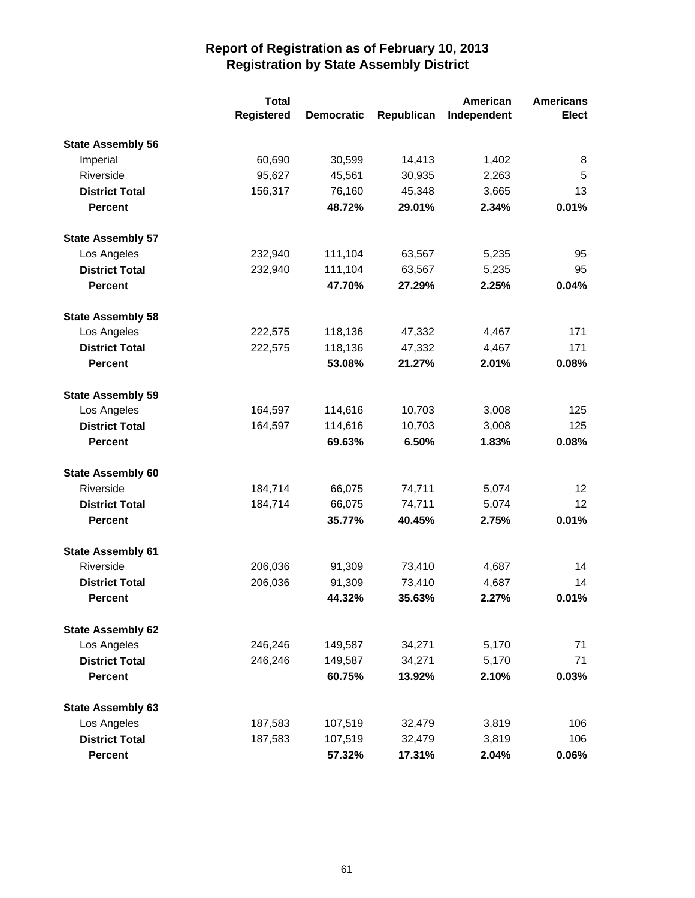|                          | <b>Total</b>      |                   |            | American    | <b>Americans</b> |
|--------------------------|-------------------|-------------------|------------|-------------|------------------|
|                          | <b>Registered</b> | <b>Democratic</b> | Republican | Independent | <b>Elect</b>     |
| <b>State Assembly 56</b> |                   |                   |            |             |                  |
| Imperial                 | 60,690            | 30,599            | 14,413     | 1,402       | 8                |
| Riverside                | 95,627            | 45,561            | 30,935     | 2,263       | 5                |
| <b>District Total</b>    | 156,317           | 76,160            | 45,348     | 3,665       | 13               |
| <b>Percent</b>           |                   | 48.72%            | 29.01%     | 2.34%       | 0.01%            |
| <b>State Assembly 57</b> |                   |                   |            |             |                  |
| Los Angeles              | 232,940           | 111,104           | 63,567     | 5,235       | 95               |
| <b>District Total</b>    | 232,940           | 111,104           | 63,567     | 5,235       | 95               |
| <b>Percent</b>           |                   | 47.70%            | 27.29%     | 2.25%       | 0.04%            |
| <b>State Assembly 58</b> |                   |                   |            |             |                  |
| Los Angeles              | 222,575           | 118,136           | 47,332     | 4,467       | 171              |
| <b>District Total</b>    | 222,575           | 118,136           | 47,332     | 4,467       | 171              |
| <b>Percent</b>           |                   | 53.08%            | 21.27%     | 2.01%       | 0.08%            |
| <b>State Assembly 59</b> |                   |                   |            |             |                  |
| Los Angeles              | 164,597           | 114,616           | 10,703     | 3,008       | 125              |
| <b>District Total</b>    | 164,597           | 114,616           | 10,703     | 3,008       | 125              |
| <b>Percent</b>           |                   | 69.63%            | 6.50%      | 1.83%       | 0.08%            |
| <b>State Assembly 60</b> |                   |                   |            |             |                  |
| Riverside                | 184,714           | 66,075            | 74,711     | 5,074       | 12               |
| <b>District Total</b>    | 184,714           | 66,075            | 74,711     | 5,074       | 12               |
| <b>Percent</b>           |                   | 35.77%            | 40.45%     | 2.75%       | 0.01%            |
| <b>State Assembly 61</b> |                   |                   |            |             |                  |
| Riverside                | 206,036           | 91,309            | 73,410     | 4,687       | 14               |
| <b>District Total</b>    | 206,036           | 91,309            | 73,410     | 4,687       | 14               |
| <b>Percent</b>           |                   | 44.32%            | 35.63%     | 2.27%       | 0.01%            |
| <b>State Assembly 62</b> |                   |                   |            |             |                  |
| Los Angeles              | 246,246           | 149,587           | 34,271     | 5,170       | 71               |
| <b>District Total</b>    | 246,246           | 149,587           | 34,271     | 5,170       | 71               |
| <b>Percent</b>           |                   | 60.75%            | 13.92%     | 2.10%       | 0.03%            |
| <b>State Assembly 63</b> |                   |                   |            |             |                  |
| Los Angeles              | 187,583           | 107,519           | 32,479     | 3,819       | 106              |
| <b>District Total</b>    | 187,583           | 107,519           | 32,479     | 3,819       | 106              |
| <b>Percent</b>           |                   | 57.32%            | 17.31%     | 2.04%       | 0.06%            |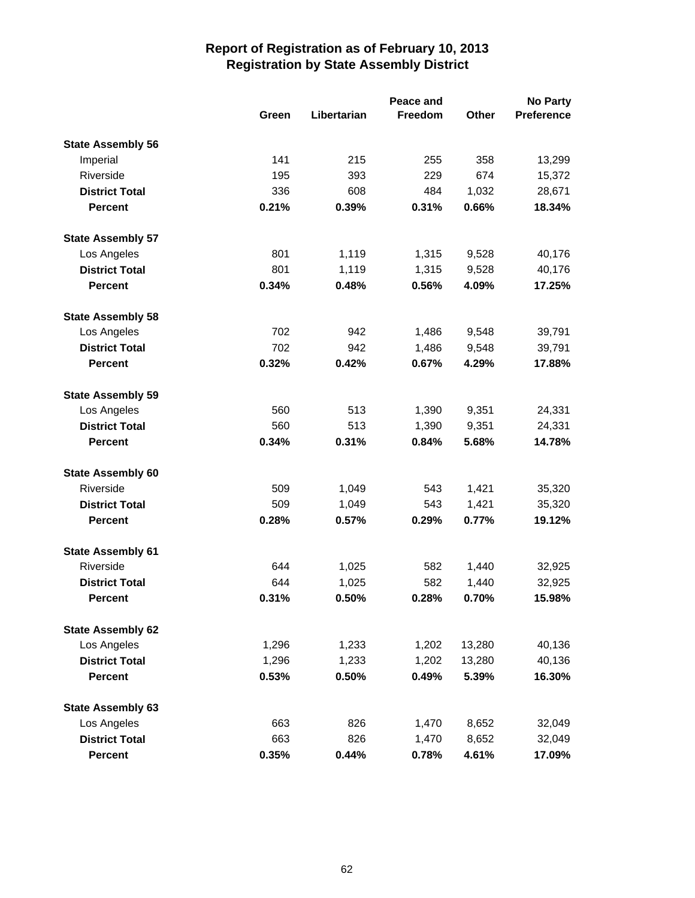|                          |       |             | Peace and |        | <b>No Party</b>   |
|--------------------------|-------|-------------|-----------|--------|-------------------|
|                          | Green | Libertarian | Freedom   | Other  | <b>Preference</b> |
| <b>State Assembly 56</b> |       |             |           |        |                   |
| Imperial                 | 141   | 215         | 255       | 358    | 13,299            |
| Riverside                | 195   | 393         | 229       | 674    | 15,372            |
| <b>District Total</b>    | 336   | 608         | 484       | 1,032  | 28,671            |
| <b>Percent</b>           | 0.21% | 0.39%       | 0.31%     | 0.66%  | 18.34%            |
| <b>State Assembly 57</b> |       |             |           |        |                   |
| Los Angeles              | 801   | 1,119       | 1,315     | 9,528  | 40,176            |
| <b>District Total</b>    | 801   | 1,119       | 1,315     | 9,528  | 40,176            |
| <b>Percent</b>           | 0.34% | 0.48%       | 0.56%     | 4.09%  | 17.25%            |
| <b>State Assembly 58</b> |       |             |           |        |                   |
| Los Angeles              | 702   | 942         | 1,486     | 9,548  | 39,791            |
| <b>District Total</b>    | 702   | 942         | 1,486     | 9,548  | 39,791            |
| <b>Percent</b>           | 0.32% | 0.42%       | 0.67%     | 4.29%  | 17.88%            |
| <b>State Assembly 59</b> |       |             |           |        |                   |
| Los Angeles              | 560   | 513         | 1,390     | 9,351  | 24,331            |
| <b>District Total</b>    | 560   | 513         | 1,390     | 9,351  | 24,331            |
| <b>Percent</b>           | 0.34% | 0.31%       | 0.84%     | 5.68%  | 14.78%            |
| <b>State Assembly 60</b> |       |             |           |        |                   |
| Riverside                | 509   | 1,049       | 543       | 1,421  | 35,320            |
| <b>District Total</b>    | 509   | 1,049       | 543       | 1,421  | 35,320            |
| <b>Percent</b>           | 0.28% | 0.57%       | 0.29%     | 0.77%  | 19.12%            |
| <b>State Assembly 61</b> |       |             |           |        |                   |
| Riverside                | 644   | 1,025       | 582       | 1,440  | 32,925            |
| <b>District Total</b>    | 644   | 1,025       | 582       | 1,440  | 32,925            |
| <b>Percent</b>           | 0.31% | 0.50%       | 0.28%     | 0.70%  | 15.98%            |
| <b>State Assembly 62</b> |       |             |           |        |                   |
| Los Angeles              | 1,296 | 1,233       | 1,202     | 13,280 | 40,136            |
| <b>District Total</b>    | 1,296 | 1,233       | 1,202     | 13,280 | 40,136            |
| <b>Percent</b>           | 0.53% | 0.50%       | 0.49%     | 5.39%  | 16.30%            |
| <b>State Assembly 63</b> |       |             |           |        |                   |
| Los Angeles              | 663   | 826         | 1,470     | 8,652  | 32,049            |
| <b>District Total</b>    | 663   | 826         | 1,470     | 8,652  | 32,049            |
| <b>Percent</b>           | 0.35% | 0.44%       | 0.78%     | 4.61%  | 17.09%            |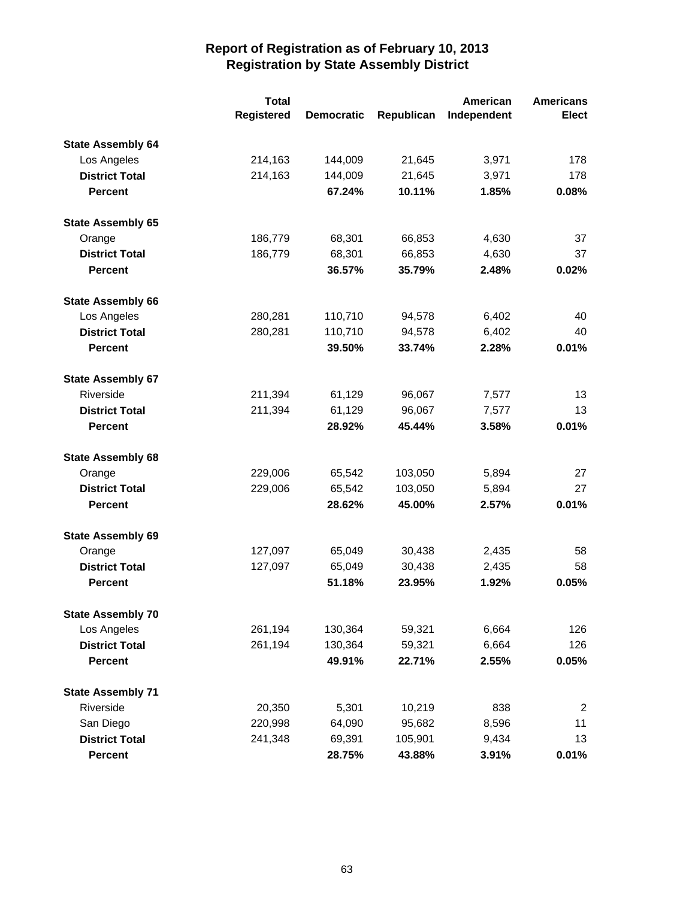|                          | <b>Total</b> |                   |            | American    | <b>Americans</b> |
|--------------------------|--------------|-------------------|------------|-------------|------------------|
|                          | Registered   | <b>Democratic</b> | Republican | Independent | <b>Elect</b>     |
| <b>State Assembly 64</b> |              |                   |            |             |                  |
| Los Angeles              | 214,163      | 144,009           | 21,645     | 3,971       | 178              |
| <b>District Total</b>    | 214,163      | 144,009           | 21,645     | 3,971       | 178              |
| <b>Percent</b>           |              | 67.24%            | 10.11%     | 1.85%       | 0.08%            |
| <b>State Assembly 65</b> |              |                   |            |             |                  |
| Orange                   | 186,779      | 68,301            | 66,853     | 4,630       | 37               |
| <b>District Total</b>    | 186,779      | 68,301            | 66,853     | 4,630       | 37               |
| <b>Percent</b>           |              | 36.57%            | 35.79%     | 2.48%       | 0.02%            |
| <b>State Assembly 66</b> |              |                   |            |             |                  |
| Los Angeles              | 280,281      | 110,710           | 94,578     | 6,402       | 40               |
| <b>District Total</b>    | 280,281      | 110,710           | 94,578     | 6,402       | 40               |
| <b>Percent</b>           |              | 39.50%            | 33.74%     | 2.28%       | 0.01%            |
| <b>State Assembly 67</b> |              |                   |            |             |                  |
| Riverside                | 211,394      | 61,129            | 96,067     | 7,577       | 13               |
| <b>District Total</b>    | 211,394      | 61,129            | 96,067     | 7,577       | 13               |
| <b>Percent</b>           |              | 28.92%            | 45.44%     | 3.58%       | 0.01%            |
| <b>State Assembly 68</b> |              |                   |            |             |                  |
| Orange                   | 229,006      | 65,542            | 103,050    | 5,894       | 27               |
| <b>District Total</b>    | 229,006      | 65,542            | 103,050    | 5,894       | 27               |
| <b>Percent</b>           |              | 28.62%            | 45.00%     | 2.57%       | 0.01%            |
| <b>State Assembly 69</b> |              |                   |            |             |                  |
| Orange                   | 127,097      | 65,049            | 30,438     | 2,435       | 58               |
| <b>District Total</b>    | 127,097      | 65,049            | 30,438     | 2,435       | 58               |
| <b>Percent</b>           |              | 51.18%            | 23.95%     | 1.92%       | 0.05%            |
| <b>State Assembly 70</b> |              |                   |            |             |                  |
| Los Angeles              | 261,194      | 130,364           | 59,321     | 6,664       | 126              |
| <b>District Total</b>    | 261,194      | 130,364           | 59,321     | 6,664       | 126              |
| <b>Percent</b>           |              | 49.91%            | 22.71%     | 2.55%       | 0.05%            |
| <b>State Assembly 71</b> |              |                   |            |             |                  |
| Riverside                | 20,350       | 5,301             | 10,219     | 838         | 2                |
| San Diego                | 220,998      | 64,090            | 95,682     | 8,596       | 11               |
| <b>District Total</b>    | 241,348      | 69,391            | 105,901    | 9,434       | 13               |
| <b>Percent</b>           |              | 28.75%            | 43.88%     | 3.91%       | 0.01%            |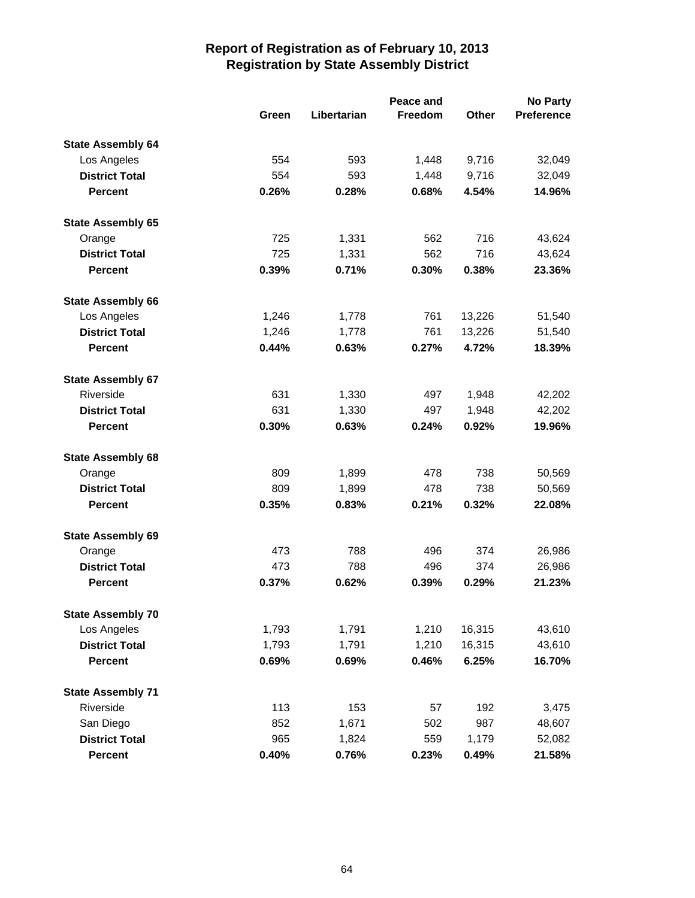|                          |       | Peace and   |         |              |                   |
|--------------------------|-------|-------------|---------|--------------|-------------------|
|                          | Green | Libertarian | Freedom | <b>Other</b> | <b>Preference</b> |
| <b>State Assembly 64</b> |       |             |         |              |                   |
| Los Angeles              | 554   | 593         | 1,448   | 9,716        | 32,049            |
| <b>District Total</b>    | 554   | 593         | 1,448   | 9,716        | 32,049            |
| <b>Percent</b>           | 0.26% | 0.28%       | 0.68%   | 4.54%        | 14.96%            |
| <b>State Assembly 65</b> |       |             |         |              |                   |
| Orange                   | 725   | 1,331       | 562     | 716          | 43,624            |
| <b>District Total</b>    | 725   | 1,331       | 562     | 716          | 43,624            |
| <b>Percent</b>           | 0.39% | 0.71%       | 0.30%   | 0.38%        | 23.36%            |
| <b>State Assembly 66</b> |       |             |         |              |                   |
| Los Angeles              | 1,246 | 1,778       | 761     | 13,226       | 51,540            |
| <b>District Total</b>    | 1,246 | 1,778       | 761     | 13,226       | 51,540            |
| <b>Percent</b>           | 0.44% | 0.63%       | 0.27%   | 4.72%        | 18.39%            |
| <b>State Assembly 67</b> |       |             |         |              |                   |
| Riverside                | 631   | 1,330       | 497     | 1,948        | 42,202            |
| <b>District Total</b>    | 631   | 1,330       | 497     | 1,948        | 42,202            |
| <b>Percent</b>           | 0.30% | 0.63%       | 0.24%   | 0.92%        | 19.96%            |
| <b>State Assembly 68</b> |       |             |         |              |                   |
| Orange                   | 809   | 1,899       | 478     | 738          | 50,569            |
| <b>District Total</b>    | 809   | 1,899       | 478     | 738          | 50,569            |
| <b>Percent</b>           | 0.35% | 0.83%       | 0.21%   | 0.32%        | 22.08%            |
| <b>State Assembly 69</b> |       |             |         |              |                   |
| Orange                   | 473   | 788         | 496     | 374          | 26,986            |
| <b>District Total</b>    | 473   | 788         | 496     | 374          | 26,986            |
| <b>Percent</b>           | 0.37% | 0.62%       | 0.39%   | 0.29%        | 21.23%            |
| <b>State Assembly 70</b> |       |             |         |              |                   |
| Los Angeles              | 1,793 | 1,791       | 1,210   | 16,315       | 43,610            |
| <b>District Total</b>    | 1,793 | 1,791       | 1,210   | 16,315       | 43,610            |
| <b>Percent</b>           | 0.69% | 0.69%       | 0.46%   | 6.25%        | 16.70%            |
| <b>State Assembly 71</b> |       |             |         |              |                   |
| Riverside                | 113   | 153         | 57      | 192          | 3,475             |
| San Diego                | 852   | 1,671       | 502     | 987          | 48,607            |
| <b>District Total</b>    | 965   | 1,824       | 559     | 1,179        | 52,082            |
| Percent                  | 0.40% | 0.76%       | 0.23%   | 0.49%        | 21.58%            |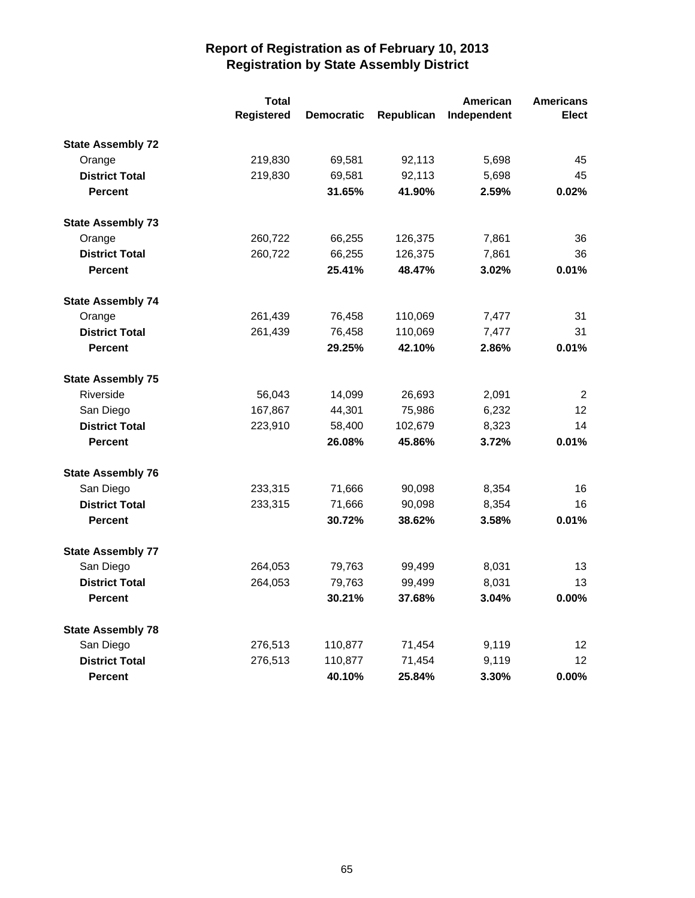|                          | <b>Total</b> |                   |            | American    | <b>Americans</b> |
|--------------------------|--------------|-------------------|------------|-------------|------------------|
|                          | Registered   | <b>Democratic</b> | Republican | Independent | <b>Elect</b>     |
| <b>State Assembly 72</b> |              |                   |            |             |                  |
| Orange                   | 219,830      | 69,581            | 92,113     | 5,698       | 45               |
| <b>District Total</b>    | 219,830      | 69,581            | 92,113     | 5,698       | 45               |
| <b>Percent</b>           |              | 31.65%            | 41.90%     | 2.59%       | 0.02%            |
| <b>State Assembly 73</b> |              |                   |            |             |                  |
| Orange                   | 260,722      | 66,255            | 126,375    | 7,861       | 36               |
| <b>District Total</b>    | 260,722      | 66,255            | 126,375    | 7,861       | 36               |
| <b>Percent</b>           |              | 25.41%            | 48.47%     | 3.02%       | 0.01%            |
| <b>State Assembly 74</b> |              |                   |            |             |                  |
| Orange                   | 261,439      | 76,458            | 110,069    | 7,477       | 31               |
| <b>District Total</b>    | 261,439      | 76,458            | 110,069    | 7,477       | 31               |
| <b>Percent</b>           |              | 29.25%            | 42.10%     | 2.86%       | 0.01%            |
| <b>State Assembly 75</b> |              |                   |            |             |                  |
| Riverside                | 56,043       | 14,099            | 26,693     | 2,091       | 2                |
| San Diego                | 167,867      | 44,301            | 75,986     | 6,232       | 12               |
| <b>District Total</b>    | 223,910      | 58,400            | 102,679    | 8,323       | 14               |
| <b>Percent</b>           |              | 26.08%            | 45.86%     | 3.72%       | 0.01%            |
| <b>State Assembly 76</b> |              |                   |            |             |                  |
| San Diego                | 233,315      | 71,666            | 90,098     | 8,354       | 16               |
| <b>District Total</b>    | 233,315      | 71,666            | 90,098     | 8,354       | 16               |
| <b>Percent</b>           |              | 30.72%            | 38.62%     | 3.58%       | 0.01%            |
| <b>State Assembly 77</b> |              |                   |            |             |                  |
| San Diego                | 264,053      | 79,763            | 99,499     | 8,031       | 13               |
| <b>District Total</b>    | 264,053      | 79,763            | 99,499     | 8,031       | 13               |
| <b>Percent</b>           |              | 30.21%            | 37.68%     | 3.04%       | 0.00%            |
| <b>State Assembly 78</b> |              |                   |            |             |                  |
| San Diego                | 276,513      | 110,877           | 71,454     | 9,119       | 12               |
| <b>District Total</b>    | 276,513      | 110,877           | 71,454     | 9,119       | 12               |
| <b>Percent</b>           |              | 40.10%            | 25.84%     | 3.30%       | 0.00%            |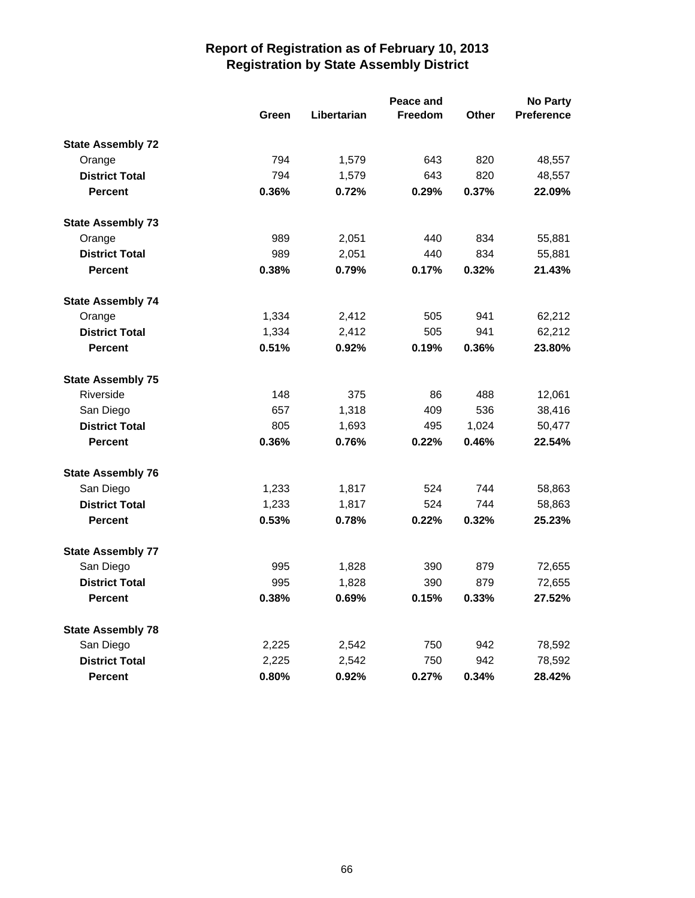|                          | Peace and |             |                |              | <b>No Party</b>   |
|--------------------------|-----------|-------------|----------------|--------------|-------------------|
|                          | Green     | Libertarian | <b>Freedom</b> | <b>Other</b> | <b>Preference</b> |
| <b>State Assembly 72</b> |           |             |                |              |                   |
| Orange                   | 794       | 1,579       | 643            | 820          | 48,557            |
| <b>District Total</b>    | 794       | 1,579       | 643            | 820          | 48,557            |
| <b>Percent</b>           | 0.36%     | 0.72%       | 0.29%          | 0.37%        | 22.09%            |
| <b>State Assembly 73</b> |           |             |                |              |                   |
| Orange                   | 989       | 2,051       | 440            | 834          | 55,881            |
| <b>District Total</b>    | 989       | 2,051       | 440            | 834          | 55,881            |
| <b>Percent</b>           | 0.38%     | 0.79%       | 0.17%          | 0.32%        | 21.43%            |
| <b>State Assembly 74</b> |           |             |                |              |                   |
| Orange                   | 1,334     | 2,412       | 505            | 941          | 62,212            |
| <b>District Total</b>    | 1,334     | 2,412       | 505            | 941          | 62,212            |
| <b>Percent</b>           | 0.51%     | 0.92%       | 0.19%          | 0.36%        | 23.80%            |
| <b>State Assembly 75</b> |           |             |                |              |                   |
| Riverside                | 148       | 375         | 86             | 488          | 12,061            |
| San Diego                | 657       | 1,318       | 409            | 536          | 38,416            |
| <b>District Total</b>    | 805       | 1,693       | 495            | 1,024        | 50,477            |
| <b>Percent</b>           | 0.36%     | 0.76%       | 0.22%          | 0.46%        | 22.54%            |
| <b>State Assembly 76</b> |           |             |                |              |                   |
| San Diego                | 1,233     | 1,817       | 524            | 744          | 58,863            |
| <b>District Total</b>    | 1,233     | 1,817       | 524            | 744          | 58,863            |
| <b>Percent</b>           | 0.53%     | 0.78%       | 0.22%          | 0.32%        | 25.23%            |
| <b>State Assembly 77</b> |           |             |                |              |                   |
| San Diego                | 995       | 1,828       | 390            | 879          | 72,655            |
| <b>District Total</b>    | 995       | 1,828       | 390            | 879          | 72,655            |
| <b>Percent</b>           | 0.38%     | 0.69%       | 0.15%          | 0.33%        | 27.52%            |
| <b>State Assembly 78</b> |           |             |                |              |                   |
| San Diego                | 2,225     | 2,542       | 750            | 942          | 78,592            |
| <b>District Total</b>    | 2,225     | 2,542       | 750            | 942          | 78,592            |
| <b>Percent</b>           | 0.80%     | 0.92%       | 0.27%          | 0.34%        | 28.42%            |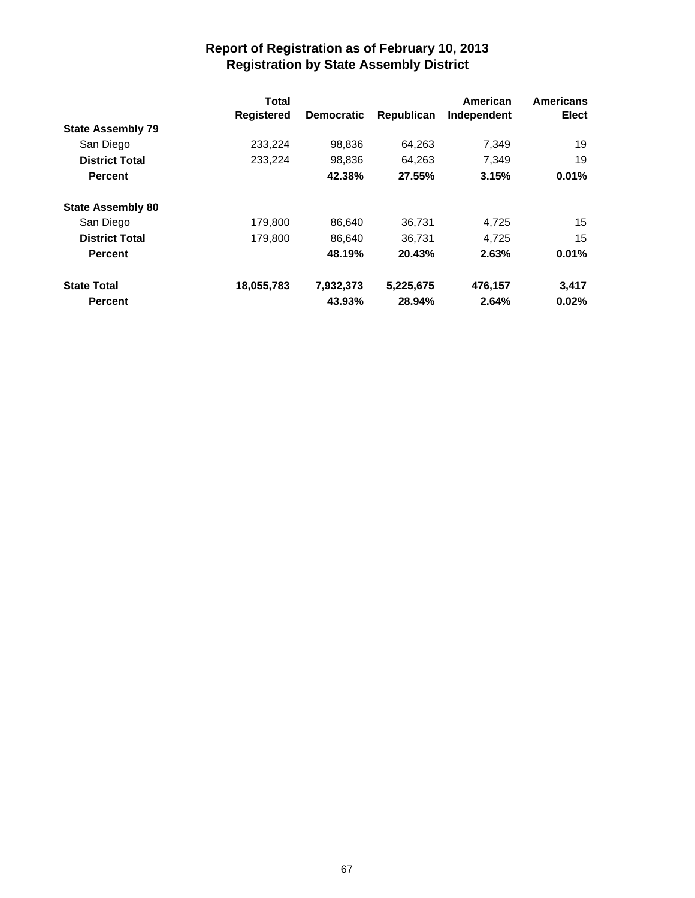|                          | <b>Total</b> |                   | American   | <b>Americans</b> |       |
|--------------------------|--------------|-------------------|------------|------------------|-------|
|                          | Registered   | <b>Democratic</b> | Republican | Independent      | Elect |
| <b>State Assembly 79</b> |              |                   |            |                  |       |
| San Diego                | 233,224      | 98,836            | 64,263     | 7.349            | 19    |
| <b>District Total</b>    | 233,224      | 98,836            | 64,263     | 7,349            | 19    |
| <b>Percent</b>           |              | 42.38%            | 27.55%     | 3.15%            | 0.01% |
| <b>State Assembly 80</b> |              |                   |            |                  |       |
| San Diego                | 179,800      | 86.640            | 36,731     | 4,725            | 15    |
| <b>District Total</b>    | 179,800      | 86.640            | 36.731     | 4.725            | 15    |
| <b>Percent</b>           |              | 48.19%            | 20.43%     | 2.63%            | 0.01% |
| <b>State Total</b>       | 18,055,783   | 7,932,373         | 5,225,675  | 476,157          | 3,417 |
| <b>Percent</b>           |              | 43.93%            | 28.94%     | 2.64%            | 0.02% |